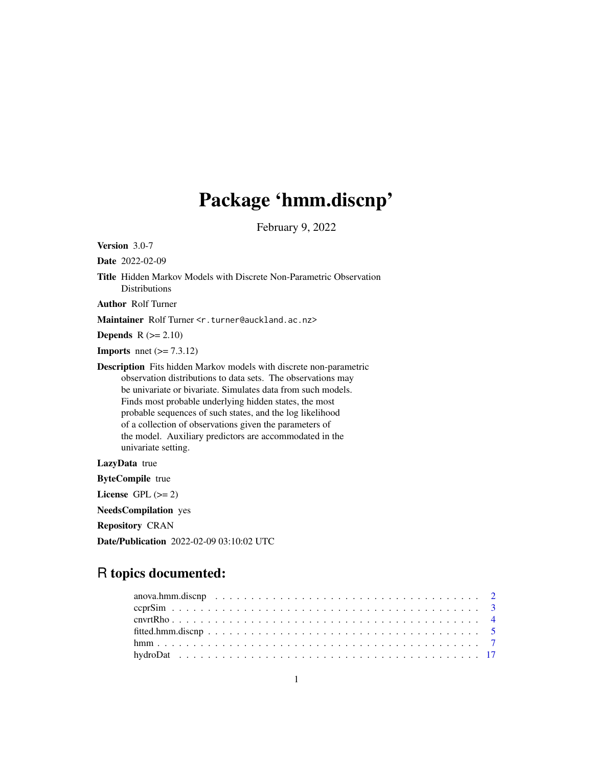# Package 'hmm.discnp'

February 9, 2022

<span id="page-0-0"></span>Version 3.0-7

Date 2022-02-09

Title Hidden Markov Models with Discrete Non-Parametric Observation Distributions

Author Rolf Turner

Maintainer Rolf Turner <r.turner@auckland.ac.nz>

**Depends**  $R$  ( $>= 2.10$ )

**Imports** nnet  $(>= 7.3.12)$ 

Description Fits hidden Markov models with discrete non-parametric observation distributions to data sets. The observations may be univariate or bivariate. Simulates data from such models. Finds most probable underlying hidden states, the most probable sequences of such states, and the log likelihood of a collection of observations given the parameters of the model. Auxiliary predictors are accommodated in the univariate setting.

LazyData true

ByteCompile true

License GPL  $(>= 2)$ 

NeedsCompilation yes

Repository CRAN

Date/Publication 2022-02-09 03:10:02 UTC

# R topics documented: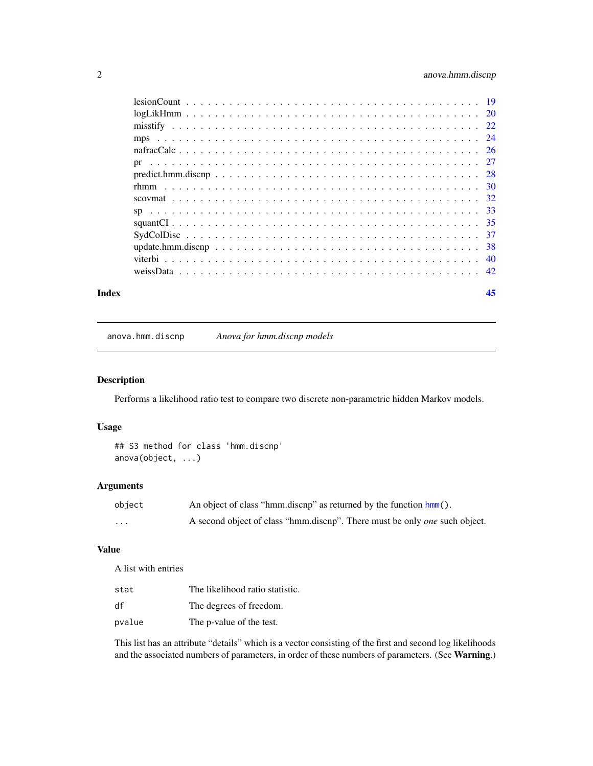# <span id="page-1-0"></span>2 anova.hmm.discnp

| Index | 45 |
|-------|----|
|       |    |
|       |    |
|       |    |
|       |    |
|       |    |
|       |    |
|       |    |
|       |    |
|       |    |
|       |    |
|       |    |
|       |    |
|       |    |
|       |    |
|       |    |

anova.hmm.discnp *Anova for hmm.discnp models*

# Description

Performs a likelihood ratio test to compare two discrete non-parametric hidden Markov models.

# Usage

```
## S3 method for class 'hmm.discnp'
anova(object, ...)
```
# Arguments

| object   | An object of class "hmm.discnp" as returned by the function hmm().                |
|----------|-----------------------------------------------------------------------------------|
| $\cdots$ | A second object of class "hmm.discnp". There must be only <i>one</i> such object. |

# Value

A list with entries

| stat   | The likelihood ratio statistic. |
|--------|---------------------------------|
| df     | The degrees of freedom.         |
| pvalue | The p-value of the test.        |

This list has an attribute "details" which is a vector consisting of the first and second log likelihoods and the associated numbers of parameters, in order of these numbers of parameters. (See Warning.)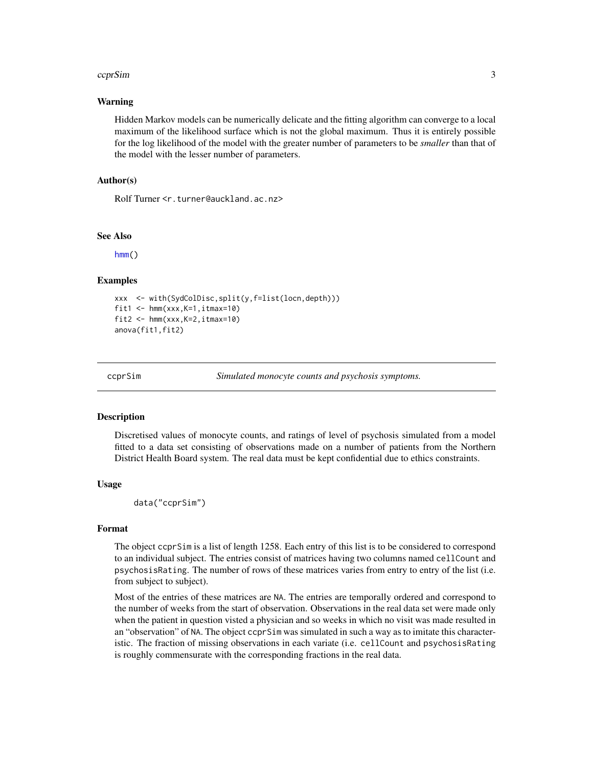#### <span id="page-2-0"></span>ccprSim 3

#### Warning

Hidden Markov models can be numerically delicate and the fitting algorithm can converge to a local maximum of the likelihood surface which is not the global maximum. Thus it is entirely possible for the log likelihood of the model with the greater number of parameters to be *smaller* than that of the model with the lesser number of parameters.

#### Author(s)

Rolf Turner <r.turner@auckland.ac.nz>

#### See Also

[hmm\(](#page-6-1))

#### Examples

```
xxx <- with(SydColDisc,split(y,f=list(locn,depth)))
fit1 \leftarrow hmm(xxx, K=1, itmax=10)
fit2 <- hmm(xxx,K=2,itmax=10)anova(fit1,fit2)
```
ccprSim *Simulated monocyte counts and psychosis symptoms.*

#### **Description**

Discretised values of monocyte counts, and ratings of level of psychosis simulated from a model fitted to a data set consisting of observations made on a number of patients from the Northern District Health Board system. The real data must be kept confidential due to ethics constraints.

#### Usage

data("ccprSim")

#### Format

The object ccprSim is a list of length 1258. Each entry of this list is to be considered to correspond to an individual subject. The entries consist of matrices having two columns named cellCount and psychosisRating. The number of rows of these matrices varies from entry to entry of the list (i.e. from subject to subject).

Most of the entries of these matrices are NA. The entries are temporally ordered and correspond to the number of weeks from the start of observation. Observations in the real data set were made only when the patient in question visted a physician and so weeks in which no visit was made resulted in an "observation" of NA. The object ccprSim was simulated in such a way as to imitate this characteristic. The fraction of missing observations in each variate (i.e. cellCount and psychosisRating is roughly commensurate with the corresponding fractions in the real data.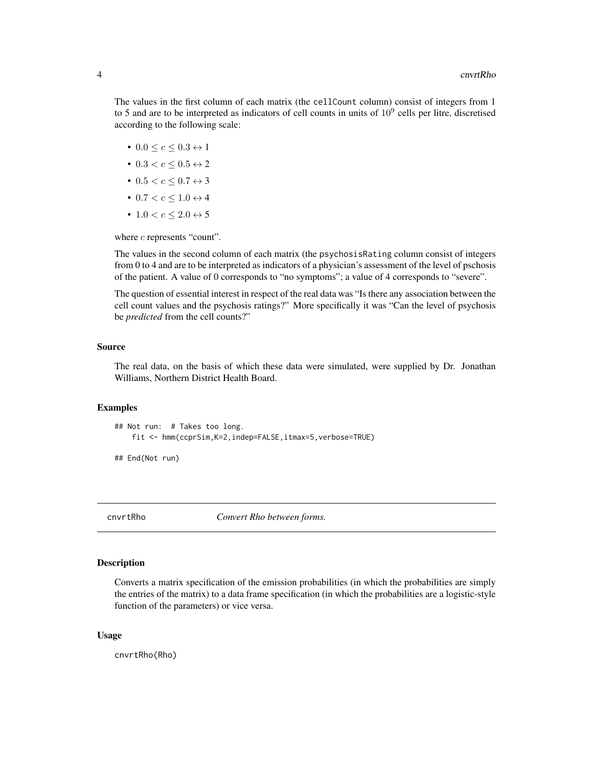<span id="page-3-0"></span>The values in the first column of each matrix (the cellCount column) consist of integers from 1 to 5 and are to be interpreted as indicators of cell counts in units of  $10<sup>9</sup>$  cells per litre, discretised according to the following scale:

- 0.0  $< c < 0.3 \leftrightarrow 1$
- $0.3 < c < 0.5 \leftrightarrow 2$
- $0.5 < c \leq 0.7 \leftrightarrow 3$
- 0.7  $<$   $c$   $<$  1.0  $\leftrightarrow$  4
- $\bullet$  1.0  $<$   $c$   $<$  2.0  $\leftrightarrow$  5

where  $c$  represents "count".

The values in the second column of each matrix (the psychosisRating column consist of integers from 0 to 4 and are to be interpreted as indicators of a physician's assessment of the level of pschosis of the patient. A value of 0 corresponds to "no symptoms"; a value of 4 corresponds to "severe".

The question of essential interest in respect of the real data was "Is there any association between the cell count values and the psychosis ratings?" More specifically it was "Can the level of psychosis be *predicted* from the cell counts?"

#### Source

The real data, on the basis of which these data were simulated, were supplied by Dr. Jonathan Williams, Northern District Health Board.

#### Examples

```
## Not run: # Takes too long.
    fit <- hmm(ccprSim,K=2,indep=FALSE,itmax=5,verbose=TRUE)
```
## End(Not run)

cnvrtRho *Convert Rho between forms.*

#### **Description**

Converts a matrix specification of the emission probabilities (in which the probabilities are simply the entries of the matrix) to a data frame specification (in which the probabilities are a logistic-style function of the parameters) or vice versa.

#### Usage

cnvrtRho(Rho)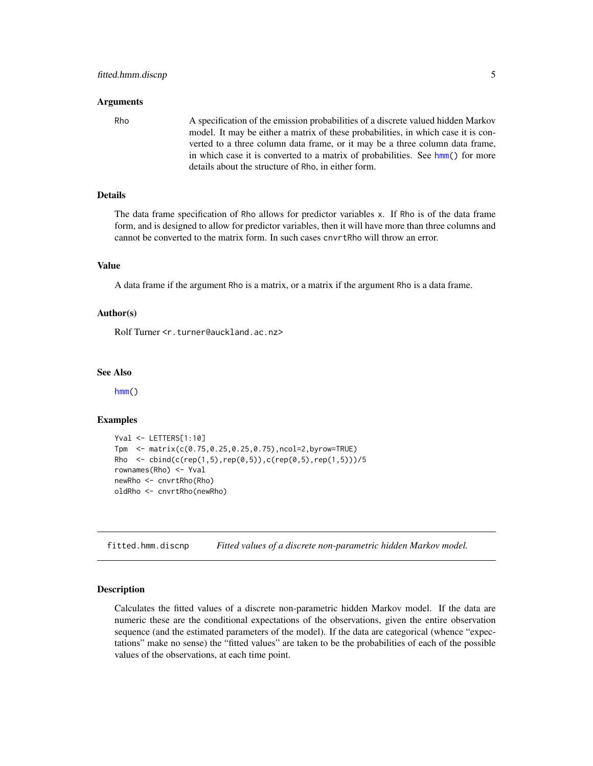#### <span id="page-4-0"></span>Arguments

Rho A specification of the emission probabilities of a discrete valued hidden Markov model. It may be either a matrix of these probabilities, in which case it is converted to a three column data frame, or it may be a three column data frame, in which case it is converted to a matrix of probabilities. See [hmm\(](#page-6-1)) for more details about the structure of Rho, in either form.

#### Details

The data frame specification of Rho allows for predictor variables x. If Rho is of the data frame form, and is designed to allow for predictor variables, then it will have more than three columns and cannot be converted to the matrix form. In such cases cnvrtRho will throw an error.

#### Value

A data frame if the argument Rho is a matrix, or a matrix if the argument Rho is a data frame.

#### Author(s)

Rolf Turner <r.turner@auckland.ac.nz>

#### See Also

[hmm\(](#page-6-1))

# Examples

```
Yval <- LETTERS[1:10]
Tpm <- matrix(c(0.75,0.25,0.25,0.75),ncol=2,byrow=TRUE)
Rho \le cbind(c(rep(1,5),rep(0,5)),c(rep(0,5),rep(1,5)))/5
rownames(Rho) <- Yval
newRho <- cnvrtRho(Rho)
oldRho <- cnvrtRho(newRho)
```
<span id="page-4-1"></span>fitted.hmm.discnp *Fitted values of a discrete non-parametric hidden Markov model.*

#### Description

Calculates the fitted values of a discrete non-parametric hidden Markov model. If the data are numeric these are the conditional expectations of the observations, given the entire observation sequence (and the estimated parameters of the model). If the data are categorical (whence "expectations" make no sense) the "fitted values" are taken to be the probabilities of each of the possible values of the observations, at each time point.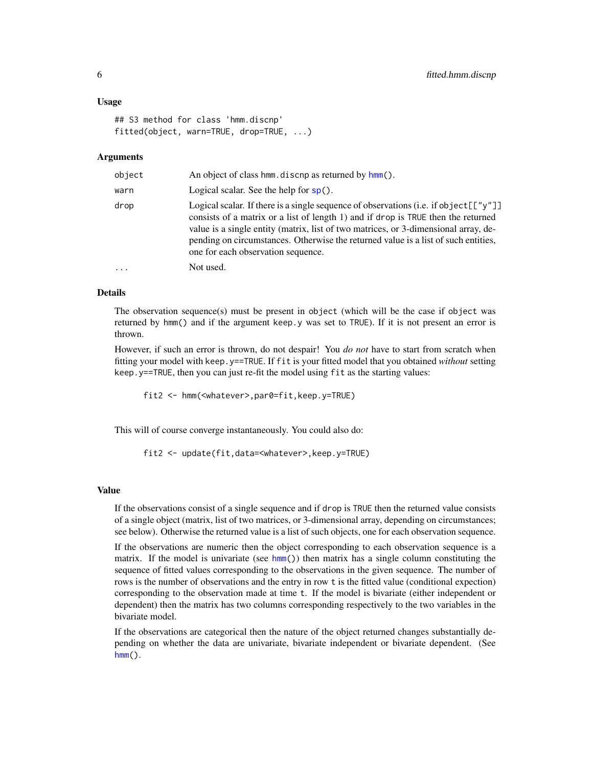#### <span id="page-5-0"></span>Usage

```
## S3 method for class 'hmm.discnp'
fitted(object, warn=TRUE, drop=TRUE, ...)
```
#### Arguments

| object | An object of class hmm. discnp as returned by hmm().                                                                                                                                                                                                                                                                                                                                                      |
|--------|-----------------------------------------------------------------------------------------------------------------------------------------------------------------------------------------------------------------------------------------------------------------------------------------------------------------------------------------------------------------------------------------------------------|
| warn   | Logical scalar. See the help for $sp($ ).                                                                                                                                                                                                                                                                                                                                                                 |
| drop   | Logical scalar. If there is a single sequence of observations (i.e. if object $[\ulcorner "y"]$ )<br>consists of a matrix or a list of length 1) and if drop is TRUE then the returned<br>value is a single entity (matrix, list of two matrices, or 3-dimensional array, de-<br>pending on circumstances. Otherwise the returned value is a list of such entities,<br>one for each observation sequence. |
| .      | Not used.                                                                                                                                                                                                                                                                                                                                                                                                 |

# Details

The observation sequence(s) must be present in object (which will be the case if object was returned by hmm() and if the argument keep.y was set to TRUE). If it is not present an error is thrown.

However, if such an error is thrown, do not despair! You *do not* have to start from scratch when fitting your model with keep.y==TRUE. If fit is your fitted model that you obtained *without* setting keep.y==TRUE, then you can just re-fit the model using fit as the starting values:

fit2 <- hmm(<whatever>,par0=fit,keep.y=TRUE)

This will of course converge instantaneously. You could also do:

fit2 <- update(fit,data=<whatever>,keep.y=TRUE)

#### Value

If the observations consist of a single sequence and if drop is TRUE then the returned value consists of a single object (matrix, list of two matrices, or 3-dimensional array, depending on circumstances; see below). Otherwise the returned value is a list of such objects, one for each observation sequence.

If the observations are numeric then the object corresponding to each observation sequence is a matrix. If the model is univariate (see [hmm\(](#page-6-1))) then matrix has a single column constituting the sequence of fitted values corresponding to the observations in the given sequence. The number of rows is the number of observations and the entry in row t is the fitted value (conditional expection) corresponding to the observation made at time t. If the model is bivariate (either independent or dependent) then the matrix has two columns corresponding respectively to the two variables in the bivariate model.

If the observations are categorical then the nature of the object returned changes substantially depending on whether the data are univariate, bivariate independent or bivariate dependent. (See  $hmm()$  $hmm()$ .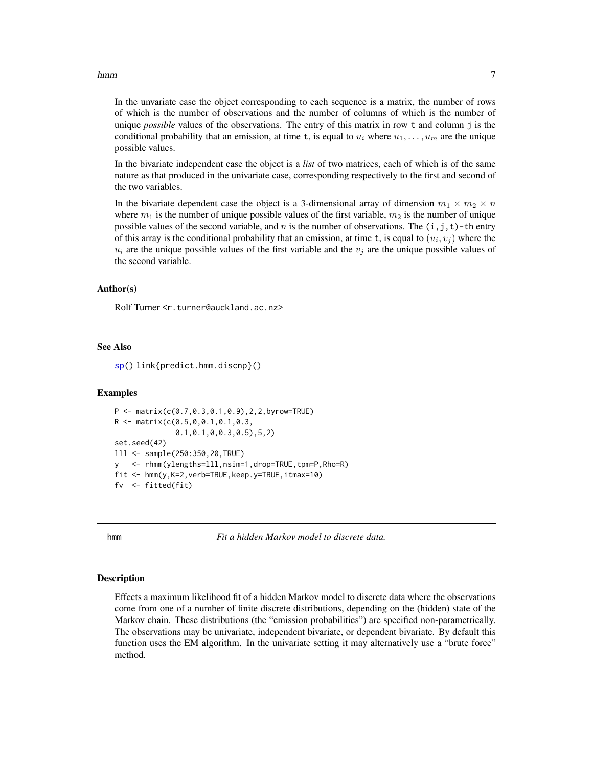#### <span id="page-6-0"></span>hmm 7

In the unvariate case the object corresponding to each sequence is a matrix, the number of rows of which is the number of observations and the number of columns of which is the number of unique *possible* values of the observations. The entry of this matrix in row t and column j is the conditional probability that an emission, at time t, is equal to  $u_i$  where  $u_1, \ldots, u_m$  are the unique possible values.

In the bivariate independent case the object is a *list* of two matrices, each of which is of the same nature as that produced in the univariate case, corresponding respectively to the first and second of the two variables.

In the bivariate dependent case the object is a 3-dimensional array of dimension  $m_1 \times m_2 \times n$ where  $m_1$  is the number of unique possible values of the first variable,  $m_2$  is the number of unique possible values of the second variable, and n is the number of observations. The  $(i, j, t)$ -th entry of this array is the conditional probability that an emission, at time t, is equal to  $(u_i, v_j)$  where the  $u_i$  are the unique possible values of the first variable and the  $v_j$  are the unique possible values of the second variable.

#### Author(s)

Rolf Turner <r.turner@auckland.ac.nz>

#### See Also

[sp\(](#page-32-1)) link{predict.hmm.discnp}()

#### Examples

```
P \leq - matrix(c(0.7,0.3,0.1,0.9),2,2,byrow=TRUE)
R <- matrix(c(0.5,0,0.1,0.1,0.3,
              0.1,0.1,0,0.3,0.5),5,2)
set.seed(42)
lll <- sample(250:350,20,TRUE)
y <- rhmm(ylengths=lll,nsim=1,drop=TRUE,tpm=P,Rho=R)
fit <- hmm(y,K=2,verb=TRUE,keep.y=TRUE,itmax=10)
fv <- fitted(fit)
```
<span id="page-6-1"></span>hmm *Fit a hidden Markov model to discrete data.*

#### Description

Effects a maximum likelihood fit of a hidden Markov model to discrete data where the observations come from one of a number of finite discrete distributions, depending on the (hidden) state of the Markov chain. These distributions (the "emission probabilities") are specified non-parametrically. The observations may be univariate, independent bivariate, or dependent bivariate. By default this function uses the EM algorithm. In the univariate setting it may alternatively use a "brute force" method.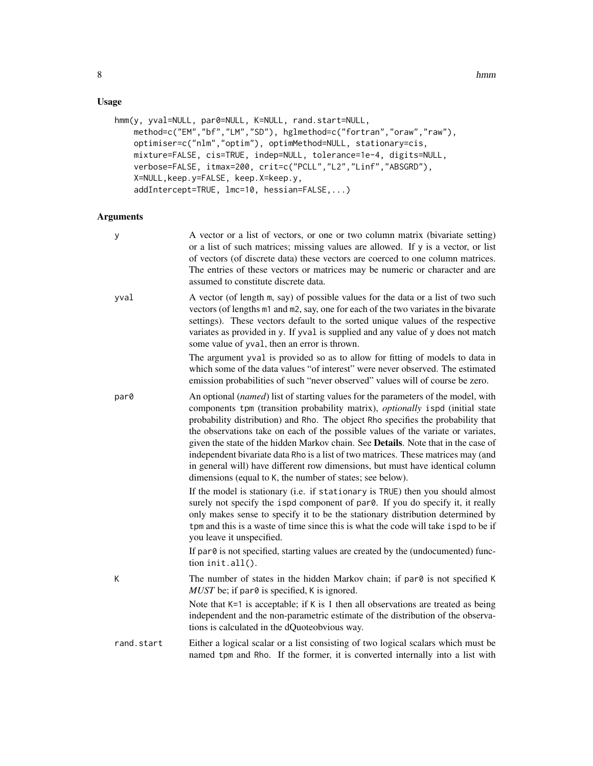# Usage

```
hmm(y, yval=NULL, par0=NULL, K=NULL, rand.start=NULL,
   method=c("EM","bf","LM","SD"), hglmethod=c("fortran","oraw","raw"),
   optimiser=c("nlm","optim"), optimMethod=NULL, stationary=cis,
   mixture=FALSE, cis=TRUE, indep=NULL, tolerance=1e-4, digits=NULL,
   verbose=FALSE, itmax=200, crit=c("PCLL","L2","Linf","ABSGRD"),
   X=NULL,keep.y=FALSE, keep.X=keep.y,
    addIntercept=TRUE, lmc=10, hessian=FALSE,...)
```

| y          | A vector or a list of vectors, or one or two column matrix (bivariate setting)<br>or a list of such matrices; missing values are allowed. If y is a vector, or list<br>of vectors (of discrete data) these vectors are coerced to one column matrices.<br>The entries of these vectors or matrices may be numeric or character and are<br>assumed to constitute discrete data.                                                                                                                                                                                                                                                                                       |
|------------|----------------------------------------------------------------------------------------------------------------------------------------------------------------------------------------------------------------------------------------------------------------------------------------------------------------------------------------------------------------------------------------------------------------------------------------------------------------------------------------------------------------------------------------------------------------------------------------------------------------------------------------------------------------------|
| yval       | A vector (of length m, say) of possible values for the data or a list of two such<br>vectors (of lengths m1 and m2, say, one for each of the two variates in the bivarate<br>settings). These vectors default to the sorted unique values of the respective<br>variates as provided in y. If yval is supplied and any value of y does not match<br>some value of yval, then an error is thrown.                                                                                                                                                                                                                                                                      |
|            | The argument yval is provided so as to allow for fitting of models to data in<br>which some of the data values "of interest" were never observed. The estimated<br>emission probabilities of such "never observed" values will of course be zero.                                                                                                                                                                                                                                                                                                                                                                                                                    |
| par0       | An optional (named) list of starting values for the parameters of the model, with<br>components tpm (transition probability matrix), optionally ispd (initial state<br>probability distribution) and Rho. The object Rho specifies the probability that<br>the observations take on each of the possible values of the variate or variates,<br>given the state of the hidden Markov chain. See Details. Note that in the case of<br>independent bivariate data Rho is a list of two matrices. These matrices may (and<br>in general will) have different row dimensions, but must have identical column<br>dimensions (equal to K, the number of states; see below). |
|            | If the model is stationary (i.e. if stationary is TRUE) then you should almost<br>surely not specify the ispd component of par0. If you do specify it, it really<br>only makes sense to specify it to be the stationary distribution determined by<br>tpm and this is a waste of time since this is what the code will take ispd to be if<br>you leave it unspecified.                                                                                                                                                                                                                                                                                               |
|            | If par0 is not specified, starting values are created by the (undocumented) func-<br>tion init.all().                                                                                                                                                                                                                                                                                                                                                                                                                                                                                                                                                                |
| K          | The number of states in the hidden Markov chain; if par0 is not specified K<br>$MUST$ be; if par $\theta$ is specified, K is ignored.                                                                                                                                                                                                                                                                                                                                                                                                                                                                                                                                |
|            | Note that $K=1$ is acceptable; if K is 1 then all observations are treated as being<br>independent and the non-parametric estimate of the distribution of the observa-<br>tions is calculated in the dQuoteobvious way.                                                                                                                                                                                                                                                                                                                                                                                                                                              |
| rand.start | Either a logical scalar or a list consisting of two logical scalars which must be<br>named tpm and Rho. If the former, it is converted internally into a list with                                                                                                                                                                                                                                                                                                                                                                                                                                                                                                   |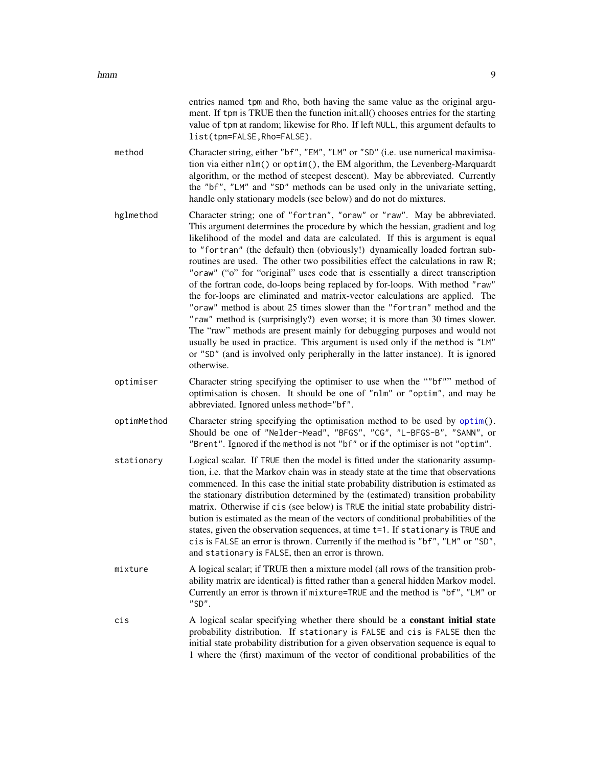entries named tpm and Rho, both having the same value as the original argument. If tpm is TRUE then the function init.all() chooses entries for the starting value of tpm at random; likewise for Rho. If left NULL, this argument defaults to list(tpm=FALSE,Rho=FALSE).

- <span id="page-8-0"></span>method Character string, either "bf", "EM", "LM" or "SD" (i.e. use numerical maximisation via either nlm() or optim(), the EM algorithm, the Levenberg-Marquardt algorithm, or the method of steepest descent). May be abbreviated. Currently the "bf", "LM" and "SD" methods can be used only in the univariate setting, handle only stationary models (see below) and do not do mixtures.
- hglmethod Character string; one of "fortran", "oraw" or "raw". May be abbreviated. This argument determines the procedure by which the hessian, gradient and log likelihood of the model and data are calculated. If this is argument is equal to "fortran" (the default) then (obviously!) dynamically loaded fortran subroutines are used. The other two possibilities effect the calculations in raw R; "oraw" ("o" for "original" uses code that is essentially a direct transcription of the fortran code, do-loops being replaced by for-loops. With method "raw" the for-loops are eliminated and matrix-vector calculations are applied. The "oraw" method is about 25 times slower than the "fortran" method and the "raw" method is (surprisingly?) even worse; it is more than 30 times slower. The "raw" methods are present mainly for debugging purposes and would not usually be used in practice. This argument is used only if the method is "LM" or "SD" (and is involved only peripherally in the latter instance). It is ignored otherwise.
- optimiser Character string specifying the optimiser to use when the ""bf"" method of optimisation is chosen. It should be one of "nlm" or "optim", and may be abbreviated. Ignored unless method="bf".
- optimMethod Character string specifying the optimisation method to be used by [optim\(](#page-0-0)). Should be one of "Nelder-Mead", "BFGS", "CG", "L-BFGS-B", "SANN", or "Brent". Ignored if the method is not "bf" or if the optimiser is not "optim".
- stationary Logical scalar. If TRUE then the model is fitted under the stationarity assumption, i.e. that the Markov chain was in steady state at the time that observations commenced. In this case the initial state probability distribution is estimated as the stationary distribution determined by the (estimated) transition probability matrix. Otherwise if cis (see below) is TRUE the initial state probability distribution is estimated as the mean of the vectors of conditional probabilities of the states, given the observation sequences, at time t=1. If stationary is TRUE and cis is FALSE an error is thrown. Currently if the method is "bf", "LM" or "SD", and stationary is FALSE, then an error is thrown.
- mixture A logical scalar; if TRUE then a mixture model (all rows of the transition probability matrix are identical) is fitted rather than a general hidden Markov model. Currently an error is thrown if mixture=TRUE and the method is "bf", "LM" or "SD".
- cis A logical scalar specifying whether there should be a constant initial state probability distribution. If stationary is FALSE and cis is FALSE then the initial state probability distribution for a given observation sequence is equal to 1 where the (first) maximum of the vector of conditional probabilities of the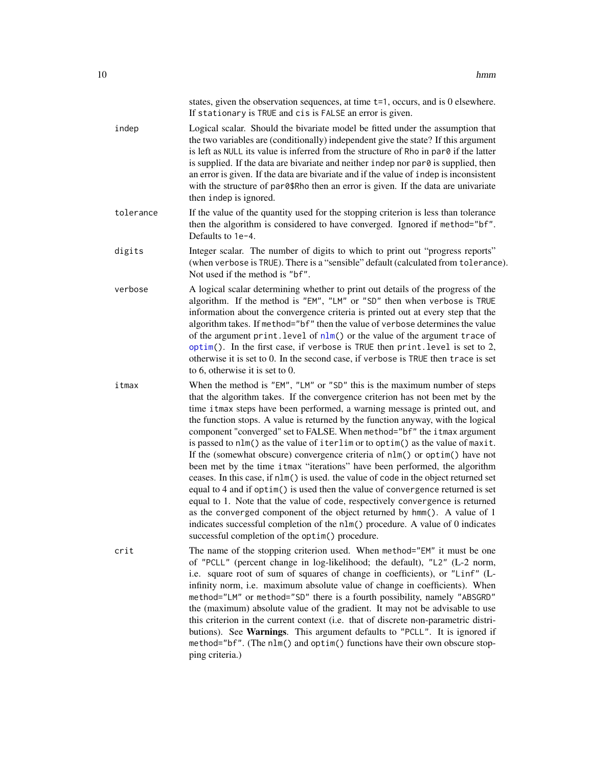<span id="page-9-0"></span>

|           | states, given the observation sequences, at time t=1, occurs, and is 0 elsewhere.<br>If stationary is TRUE and cis is FALSE an error is given.                                                                                                                                                                                                                                                                                                                                                                                                                                                                                                                                                                                                                                                                                                                                                                                                                                                                                                                                                                                           |
|-----------|------------------------------------------------------------------------------------------------------------------------------------------------------------------------------------------------------------------------------------------------------------------------------------------------------------------------------------------------------------------------------------------------------------------------------------------------------------------------------------------------------------------------------------------------------------------------------------------------------------------------------------------------------------------------------------------------------------------------------------------------------------------------------------------------------------------------------------------------------------------------------------------------------------------------------------------------------------------------------------------------------------------------------------------------------------------------------------------------------------------------------------------|
| indep     | Logical scalar. Should the bivariate model be fitted under the assumption that<br>the two variables are (conditionally) independent give the state? If this argument<br>is left as NULL its value is inferred from the structure of Rho in par0 if the latter<br>is supplied. If the data are bivariate and neither indep nor par0 is supplied, then<br>an error is given. If the data are bivariate and if the value of indep is inconsistent<br>with the structure of par0\$Rho then an error is given. If the data are univariate<br>then indep is ignored.                                                                                                                                                                                                                                                                                                                                                                                                                                                                                                                                                                           |
| tolerance | If the value of the quantity used for the stopping criterion is less than tolerance<br>then the algorithm is considered to have converged. Ignored if method="bf".<br>Defaults to 1e-4.                                                                                                                                                                                                                                                                                                                                                                                                                                                                                                                                                                                                                                                                                                                                                                                                                                                                                                                                                  |
| digits    | Integer scalar. The number of digits to which to print out "progress reports"<br>(when verbose is TRUE). There is a "sensible" default (calculated from tolerance).<br>Not used if the method is "bf".                                                                                                                                                                                                                                                                                                                                                                                                                                                                                                                                                                                                                                                                                                                                                                                                                                                                                                                                   |
| verbose   | A logical scalar determining whether to print out details of the progress of the<br>algorithm. If the method is "EM", "LM" or "SD" then when verbose is TRUE<br>information about the convergence criteria is printed out at every step that the<br>algorithm takes. If method="bf" then the value of verbose determines the value<br>of the argument print. level of nlm() or the value of the argument trace of<br>optim(). In the first case, if verbose is TRUE then print. level is set to 2,<br>otherwise it is set to 0. In the second case, if verbose is TRUE then trace is set<br>to 6, otherwise it is set to 0.                                                                                                                                                                                                                                                                                                                                                                                                                                                                                                              |
| itmax     | When the method is "EM", "LM" or "SD" this is the maximum number of steps<br>that the algorithm takes. If the convergence criterion has not been met by the<br>time it max steps have been performed, a warning message is printed out, and<br>the function stops. A value is returned by the function anyway, with the logical<br>component "converged" set to FALSE. When method="bf" the itmax argument<br>is passed to nlm() as the value of iterlim or to optim() as the value of maxit.<br>If the (somewhat obscure) convergence criteria of nlm() or optim() have not<br>been met by the time it max "iterations" have been performed, the algorithm<br>ceases. In this case, if nlm() is used. the value of code in the object returned set<br>equal to 4 and if optim() is used then the value of convergence returned is set<br>equal to 1. Note that the value of code, respectively convergence is returned<br>as the converged component of the object returned by hmm(). A value of 1<br>indicates successful completion of the nlm() procedure. A value of 0 indicates<br>successful completion of the optim() procedure. |
| crit      | The name of the stopping criterion used. When method="EM" it must be one<br>of "PCLL" (percent change in log-likelihood; the default), "L2" (L-2 norm,<br>i.e. square root of sum of squares of change in coefficients), or "Linf" (L-<br>infinity norm, i.e. maximum absolute value of change in coefficients). When<br>method="LM" or method="SD" there is a fourth possibility, namely "ABSGRD"<br>the (maximum) absolute value of the gradient. It may not be advisable to use<br>this criterion in the current context (i.e. that of discrete non-parametric distri-<br>butions). See Warnings. This argument defaults to "PCLL". It is ignored if<br>method="bf". (The nlm() and optim() functions have their own obscure stop-<br>ping criteria.)                                                                                                                                                                                                                                                                                                                                                                                 |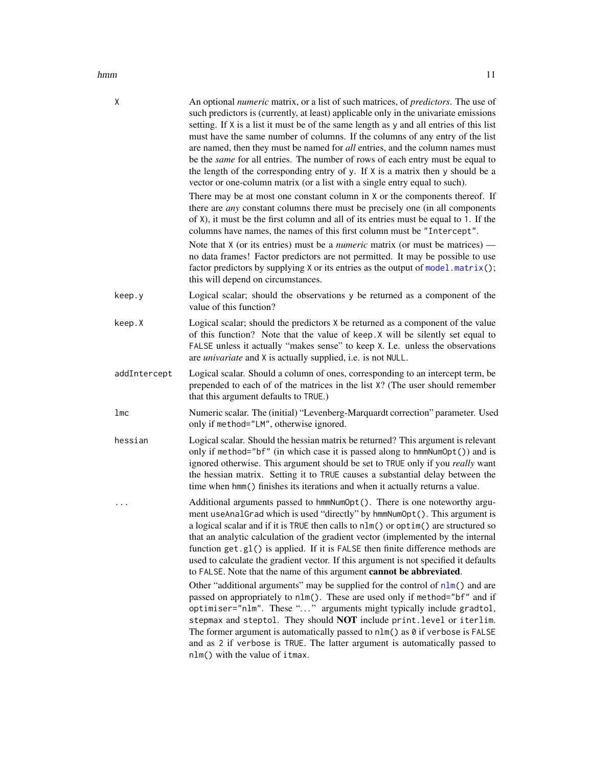<span id="page-10-0"></span>

| hmm | 11 |
|-----|----|
|     |    |

| Χ            | An optional <i>numeric</i> matrix, or a list of such matrices, of <i>predictors</i> . The use of<br>such predictors is (currently, at least) applicable only in the univariate emissions<br>setting. If X is a list it must be of the same length as y and all entries of this list<br>must have the same number of columns. If the columns of any entry of the list<br>are named, then they must be named for all entries, and the column names must<br>be the <i>same</i> for all entries. The number of rows of each entry must be equal to<br>the length of the corresponding entry of $y$ . If $X$ is a matrix then $y$ should be a<br>vector or one-column matrix (or a list with a single entry equal to such). |
|--------------|------------------------------------------------------------------------------------------------------------------------------------------------------------------------------------------------------------------------------------------------------------------------------------------------------------------------------------------------------------------------------------------------------------------------------------------------------------------------------------------------------------------------------------------------------------------------------------------------------------------------------------------------------------------------------------------------------------------------|
|              | There may be at most one constant column in X or the components thereof. If<br>there are <i>any</i> constant columns there must be precisely one (in all components<br>of X), it must be the first column and all of its entries must be equal to 1. If the<br>columns have names, the names of this first column must be "Intercept".                                                                                                                                                                                                                                                                                                                                                                                 |
|              | Note that $X$ (or its entries) must be a <i>numeric</i> matrix (or must be matrices) —<br>no data frames! Factor predictors are not permitted. It may be possible to use<br>factor predictors by supplying X or its entries as the output of model.matrix();<br>this will depend on circumstances.                                                                                                                                                                                                                                                                                                                                                                                                                     |
| keep.y       | Logical scalar; should the observations y be returned as a component of the<br>value of this function?                                                                                                                                                                                                                                                                                                                                                                                                                                                                                                                                                                                                                 |
| keep.X       | Logical scalar; should the predictors X be returned as a component of the value<br>of this function? Note that the value of keep. X will be silently set equal to<br>FALSE unless it actually "makes sense" to keep X. I.e. unless the observations<br>are <i>univariate</i> and X is actually supplied, i.e. is not NULL.                                                                                                                                                                                                                                                                                                                                                                                             |
| addIntercept | Logical scalar. Should a column of ones, corresponding to an intercept term, be<br>prepended to each of of the matrices in the list X? (The user should remember<br>that this argument defaults to TRUE.)                                                                                                                                                                                                                                                                                                                                                                                                                                                                                                              |
| 1mc          | Numeric scalar. The (initial) "Levenberg-Marquardt correction" parameter. Used<br>only if method="LM", otherwise ignored.                                                                                                                                                                                                                                                                                                                                                                                                                                                                                                                                                                                              |
| hessian      | Logical scalar. Should the hessian matrix be returned? This argument is relevant<br>only if method="bf" (in which case it is passed along to hmmNumOpt()) and is<br>ignored otherwise. This argument should be set to TRUE only if you <i>really</i> want<br>the hessian matrix. Setting it to TRUE causes a substantial delay between the<br>time when hmm() finishes its iterations and when it actually returns a value.                                                                                                                                                                                                                                                                                            |
| $\cdots$     | Additional arguments passed to hmmNumOpt(). There is one noteworthy argu-<br>ment useAnalGrad which is used "directly" by hmmNumOpt(). This argument is<br>a logical scalar and if it is TRUE then calls to nlm() or optim() are structured so<br>that an analytic calculation of the gradient vector (implemented by the internal<br>function get.g1() is applied. If it is FALSE then finite difference methods are<br>used to calculate the gradient vector. If this argument is not specified it defaults<br>to FALSE. Note that the name of this argument cannot be abbreviated.                                                                                                                                  |
|              | Other "additional arguments" may be supplied for the control of nlm() and are<br>passed on appropriately to nlm(). These are used only if method="bf" and if<br>optimiser="nlm". These "" arguments might typically include gradtol,<br>stepmax and steptol. They should NOT include print. level or iterlim.<br>The former argument is automatically passed to $nlm()$ as $0$ if verbose is FALSE<br>and as 2 if verbose is TRUE. The latter argument is automatically passed to<br>nlm() with the value of itmax.                                                                                                                                                                                                    |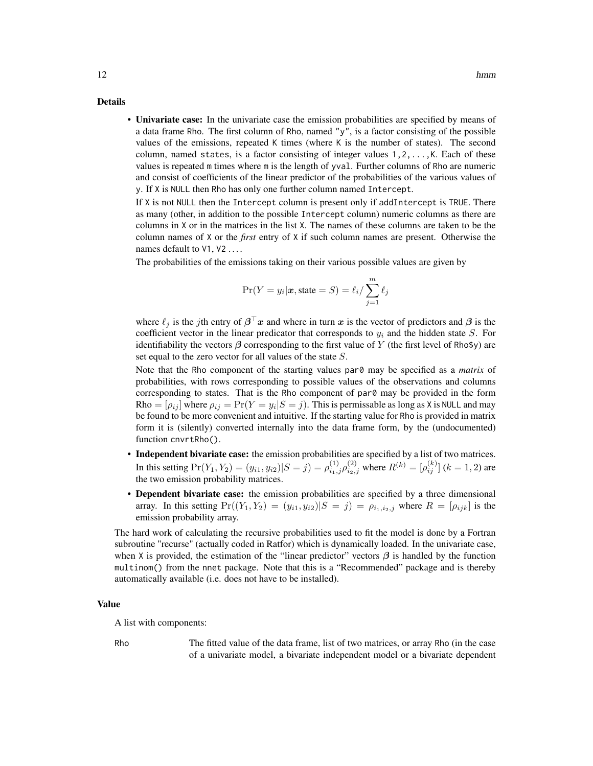#### Details

• Univariate case: In the univariate case the emission probabilities are specified by means of a data frame Rho. The first column of Rho, named "y", is a factor consisting of the possible values of the emissions, repeated K times (where K is the number of states). The second column, named states, is a factor consisting of integer values  $1, 2, \ldots, K$ . Each of these values is repeated m times where m is the length of yval. Further columns of Rho are numeric and consist of coefficients of the linear predictor of the probabilities of the various values of y. If X is NULL then Rho has only one further column named Intercept.

If X is not NULL then the Intercept column is present only if addIntercept is TRUE. There as many (other, in addition to the possible Intercept column) numeric columns as there are columns in X or in the matrices in the list X. The names of these columns are taken to be the column names of X or the *first* entry of X if such column names are present. Otherwise the names default to V1, V2 ....

The probabilities of the emissions taking on their various possible values are given by

$$
\Pr(Y = y_i | \mathbf{x}, \text{state} = S) = \ell_i / \sum_{j=1}^{m} \ell_j
$$

where  $\ell_j$  is the jth entry of  $\beta^\top x$  and where in turn x is the vector of predictors and  $\beta$  is the coefficient vector in the linear predicator that corresponds to  $y_i$  and the hidden state S. For identifiability the vectors  $\beta$  corresponding to the first value of Y (the first level of Rho\$y) are set equal to the zero vector for all values of the state S.

Note that the Rho component of the starting values par0 may be specified as a *matrix* of probabilities, with rows corresponding to possible values of the observations and columns corresponding to states. That is the Rho component of par0 may be provided in the form Rho =  $[\rho_{ij}]$  where  $\rho_{ij} = \Pr(Y = y_i | S = j)$ . This is permissable as long as X is NULL and may be found to be more convenient and intuitive. If the starting value for Rho is provided in matrix form it is (silently) converted internally into the data frame form, by the (undocumented) function cnvrtRho().

- Independent bivariate case: the emission probabilities are specified by a list of two matrices. In this setting  $Pr(Y_1, Y_2) = (y_{i1}, y_{i2}) | S = j) = \rho_{i_1, j}^{(1)} \rho_{i_2, j}^{(2)}$  where  $R^{(k)} = [\rho_{ij}^{(k)}]$   $(k = 1, 2)$  are the two emission probability matrices.
- Dependent bivariate case: the emission probabilities are specified by a three dimensional array. In this setting  $Pr((Y_1, Y_2) = (y_{i1}, y_{i2}) | S = j) = \rho_{i_1, i_2, j}$  where  $R = [\rho_{ijk}]$  is the emission probability array.

The hard work of calculating the recursive probabilities used to fit the model is done by a Fortran subroutine "recurse" (actually coded in Ratfor) which is dynamically loaded. In the univariate case, when X is provided, the estimation of the "linear predictor" vectors  $\beta$  is handled by the function multinom() from the nnet package. Note that this is a "Recommended" package and is thereby automatically available (i.e. does not have to be installed).

#### Value

A list with components:

Rho The fitted value of the data frame, list of two matrices, or array Rho (in the case of a univariate model, a bivariate independent model or a bivariate dependent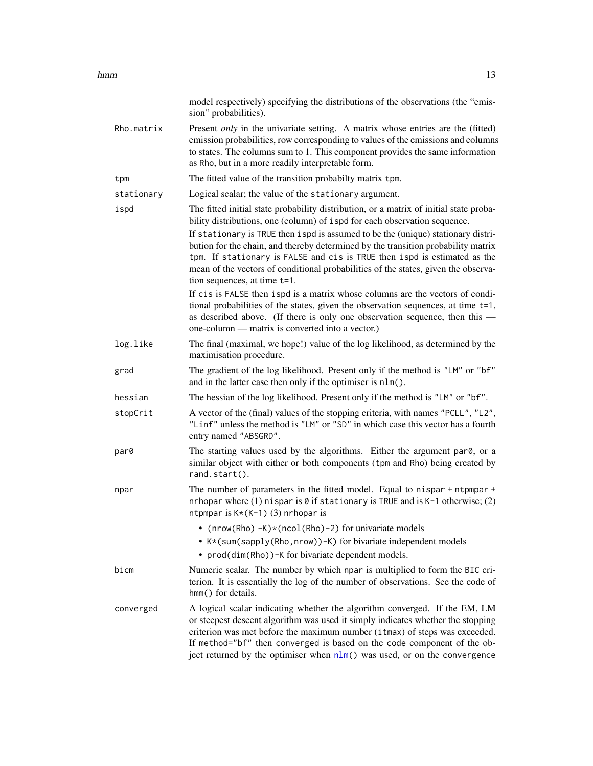<span id="page-12-0"></span>

|            | model respectively) specifying the distributions of the observations (the "emis-<br>sion" probabilities).                                                                                                                                                                                                                                                                                                                                                                                                                                       |
|------------|-------------------------------------------------------------------------------------------------------------------------------------------------------------------------------------------------------------------------------------------------------------------------------------------------------------------------------------------------------------------------------------------------------------------------------------------------------------------------------------------------------------------------------------------------|
| Rho.matrix | Present <i>only</i> in the univariate setting. A matrix whose entries are the (fitted)<br>emission probabilities, row corresponding to values of the emissions and columns<br>to states. The columns sum to 1. This component provides the same information<br>as Rho, but in a more readily interpretable form.                                                                                                                                                                                                                                |
| tpm        | The fitted value of the transition probabilty matrix tpm.                                                                                                                                                                                                                                                                                                                                                                                                                                                                                       |
| stationary | Logical scalar; the value of the stationary argument.                                                                                                                                                                                                                                                                                                                                                                                                                                                                                           |
| ispd       | The fitted initial state probability distribution, or a matrix of initial state proba-<br>bility distributions, one (column) of ispd for each observation sequence.<br>If stationary is TRUE then ispd is assumed to be the (unique) stationary distri-<br>bution for the chain, and thereby determined by the transition probability matrix<br>tpm. If stationary is FALSE and cis is TRUE then ispd is estimated as the<br>mean of the vectors of conditional probabilities of the states, given the observa-<br>tion sequences, at time t=1. |
|            | If cis is FALSE then ispd is a matrix whose columns are the vectors of condi-<br>tional probabilities of the states, given the observation sequences, at time t=1,<br>as described above. (If there is only one observation sequence, then this -<br>one-column — matrix is converted into a vector.)                                                                                                                                                                                                                                           |
| log.like   | The final (maximal, we hope!) value of the log likelihood, as determined by the<br>maximisation procedure.                                                                                                                                                                                                                                                                                                                                                                                                                                      |
| grad       | The gradient of the log likelihood. Present only if the method is "LM" or "bf"<br>and in the latter case then only if the optimiser is nlm().                                                                                                                                                                                                                                                                                                                                                                                                   |
| hessian    | The hessian of the log likelihood. Present only if the method is "LM" or "bf".                                                                                                                                                                                                                                                                                                                                                                                                                                                                  |
| stopCrit   | A vector of the (final) values of the stopping criteria, with names "PCLL", "L2",<br>"Linf" unless the method is "LM" or "SD" in which case this vector has a fourth<br>entry named "ABSGRD".                                                                                                                                                                                                                                                                                                                                                   |
| par0       | The starting values used by the algorithms. Either the argument par0, or a<br>similar object with either or both components (tpm and Rho) being created by<br>rand.start().                                                                                                                                                                                                                                                                                                                                                                     |
| npar       | The number of parameters in the fitted model. Equal to nispar + ntpmpar +<br>nrhopar where $(1)$ nispar is 0 if stationary is TRUE and is K-1 otherwise; $(2)$<br>ntpmpar is $K*(K-1)$ (3) nrhopar is                                                                                                                                                                                                                                                                                                                                           |
|            | • (nrow(Rho) $-K$ )*(ncol(Rho)-2) for univariate models                                                                                                                                                                                                                                                                                                                                                                                                                                                                                         |
|            | • K*(sum(sapply(Rho, nrow))-K) for bivariate independent models                                                                                                                                                                                                                                                                                                                                                                                                                                                                                 |
|            | • prod(dim(Rho)) -K for bivariate dependent models.                                                                                                                                                                                                                                                                                                                                                                                                                                                                                             |
| bicm       | Numeric scalar. The number by which npar is multiplied to form the BIC cri-<br>terion. It is essentially the log of the number of observations. See the code of<br>hmm() for details.                                                                                                                                                                                                                                                                                                                                                           |
| converged  | A logical scalar indicating whether the algorithm converged. If the EM, LM<br>or steepest descent algorithm was used it simply indicates whether the stopping<br>criterion was met before the maximum number (itmax) of steps was exceeded.<br>If method="bf" then converged is based on the code component of the ob-<br>ject returned by the optimiser when nlm() was used, or on the convergence                                                                                                                                             |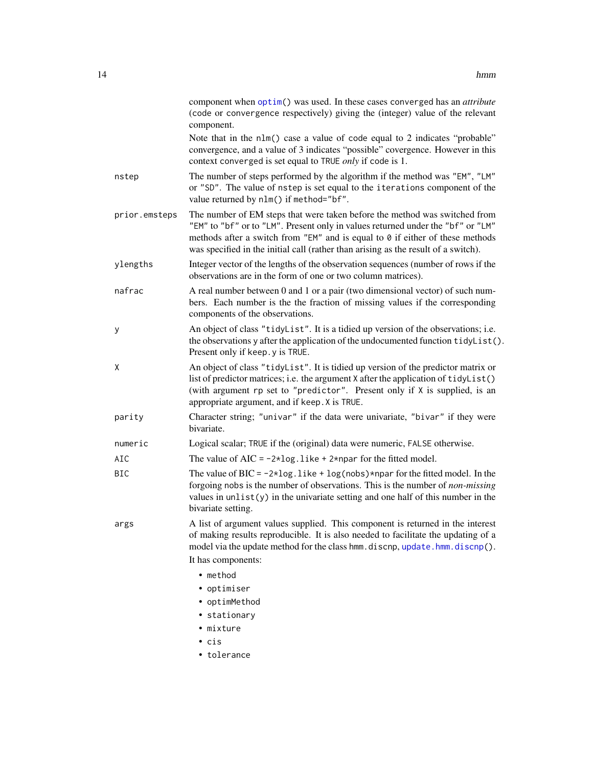<span id="page-13-0"></span>

|               | component when optim() was used. In these cases converged has an attribute<br>(code or convergence respectively) giving the (integer) value of the relevant<br>component.                                                                                                                                                            |
|---------------|--------------------------------------------------------------------------------------------------------------------------------------------------------------------------------------------------------------------------------------------------------------------------------------------------------------------------------------|
|               | Note that in the nlm() case a value of code equal to 2 indicates "probable"<br>convergence, and a value of 3 indicates "possible" covergence. However in this<br>context converged is set equal to TRUE <i>only</i> if code is 1.                                                                                                    |
| nstep         | The number of steps performed by the algorithm if the method was "EM", "LM"<br>or "SD". The value of nstep is set equal to the iterations component of the<br>value returned by nlm() if method="bf".                                                                                                                                |
| prior.emsteps | The number of EM steps that were taken before the method was switched from<br>"EM" to "bf" or to "LM". Present only in values returned under the "bf" or "LM"<br>methods after a switch from "EM" and is equal to 0 if either of these methods<br>was specified in the initial call (rather than arising as the result of a switch). |
| ylengths      | Integer vector of the lengths of the observation sequences (number of rows if the<br>observations are in the form of one or two column matrices).                                                                                                                                                                                    |
| nafrac        | A real number between 0 and 1 or a pair (two dimensional vector) of such num-<br>bers. Each number is the the fraction of missing values if the corresponding<br>components of the observations.                                                                                                                                     |
| у             | An object of class "tidyList". It is a tidied up version of the observations; i.e.<br>the observations y after the application of the undocumented function tidyList().<br>Present only if keep. y is TRUE.                                                                                                                          |
| Χ             | An object of class "tidyList". It is tidied up version of the predictor matrix or<br>list of predictor matrices; i.e. the argument X after the application of tidyList()<br>(with argument rp set to "predictor". Present only if X is supplied, is an<br>appropriate argument, and if keep. X is TRUE.                              |
| parity        | Character string; "univar" if the data were univariate, "bivar" if they were<br>bivariate.                                                                                                                                                                                                                                           |
| numeric       | Logical scalar; TRUE if the (original) data were numeric, FALSE otherwise.                                                                                                                                                                                                                                                           |
| AIC           | The value of $AIC = -2 \times log$ . like + 2*npar for the fitted model.                                                                                                                                                                                                                                                             |
| <b>BIC</b>    | The value of BIC = $-2*log.$ like + log(nobs) *npar for the fitted model. In the<br>forgoing nobs is the number of observations. This is the number of <i>non-missing</i><br>values in $unlist(y)$ in the univariate setting and one half of this number in the<br>bivariate setting.                                                |
| args          | A list of argument values supplied. This component is returned in the interest<br>of making results reproducible. It is also needed to facilitate the updating of a<br>model via the update method for the class hmm. discnp, update. hmm. discnp().                                                                                 |
|               | It has components:                                                                                                                                                                                                                                                                                                                   |
|               | • method<br>• optimiser                                                                                                                                                                                                                                                                                                              |
|               | • optimMethod                                                                                                                                                                                                                                                                                                                        |
|               | • stationary                                                                                                                                                                                                                                                                                                                         |
|               | • mixture                                                                                                                                                                                                                                                                                                                            |
|               | $\cdot$ cis                                                                                                                                                                                                                                                                                                                          |
|               | • tolerance                                                                                                                                                                                                                                                                                                                          |
|               |                                                                                                                                                                                                                                                                                                                                      |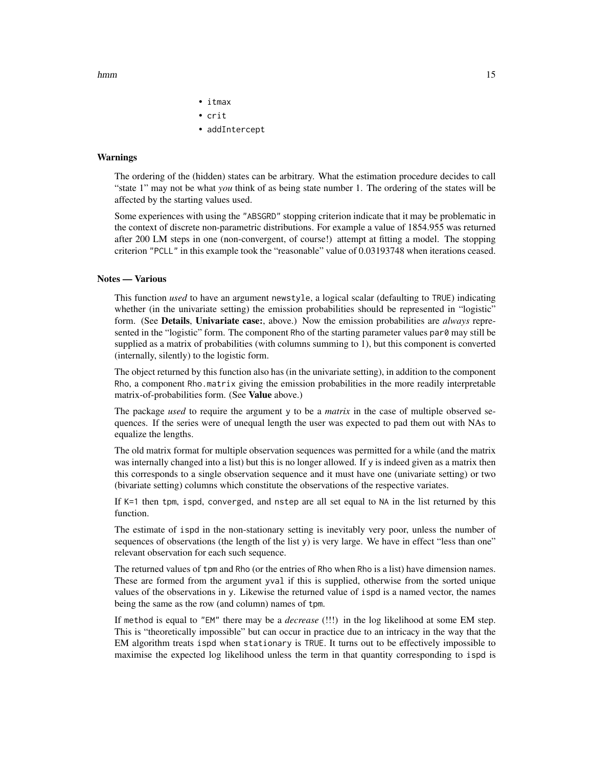hmm and the contract of the contract of the contract of the contract of the contract of the contract of the contract of the contract of the contract of the contract of the contract of the contract of the contract of the co

• itmax • crit

• addIntercept

#### Warnings

The ordering of the (hidden) states can be arbitrary. What the estimation procedure decides to call "state 1" may not be what *you* think of as being state number 1. The ordering of the states will be affected by the starting values used.

Some experiences with using the "ABSGRD" stopping criterion indicate that it may be problematic in the context of discrete non-parametric distributions. For example a value of 1854.955 was returned after 200 LM steps in one (non-convergent, of course!) attempt at fitting a model. The stopping criterion "PCLL" in this example took the "reasonable" value of 0.03193748 when iterations ceased.

#### Notes — Various

This function *used* to have an argument newstyle, a logical scalar (defaulting to TRUE) indicating whether (in the univariate setting) the emission probabilities should be represented in "logistic" form. (See Details, Univariate case:, above.) Now the emission probabilities are *always* represented in the "logistic" form. The component Rho of the starting parameter values par0 may still be supplied as a matrix of probabilities (with columns summing to 1), but this component is converted (internally, silently) to the logistic form.

The object returned by this function also has (in the univariate setting), in addition to the component Rho, a component Rho.matrix giving the emission probabilities in the more readily interpretable matrix-of-probabilities form. (See Value above.)

The package *used* to require the argument y to be a *matrix* in the case of multiple observed sequences. If the series were of unequal length the user was expected to pad them out with NAs to equalize the lengths.

The old matrix format for multiple observation sequences was permitted for a while (and the matrix was internally changed into a list) but this is no longer allowed. If y is indeed given as a matrix then this corresponds to a single observation sequence and it must have one (univariate setting) or two (bivariate setting) columns which constitute the observations of the respective variates.

If K=1 then tpm, ispd, converged, and nstep are all set equal to NA in the list returned by this function.

The estimate of ispd in the non-stationary setting is inevitably very poor, unless the number of sequences of observations (the length of the list y) is very large. We have in effect "less than one" relevant observation for each such sequence.

The returned values of tpm and Rho (or the entries of Rho when Rho is a list) have dimension names. These are formed from the argument yval if this is supplied, otherwise from the sorted unique values of the observations in y. Likewise the returned value of ispd is a named vector, the names being the same as the row (and column) names of tpm.

If method is equal to "EM" there may be a *decrease* (!!!) in the log likelihood at some EM step. This is "theoretically impossible" but can occur in practice due to an intricacy in the way that the EM algorithm treats ispd when stationary is TRUE. It turns out to be effectively impossible to maximise the expected log likelihood unless the term in that quantity corresponding to ispd is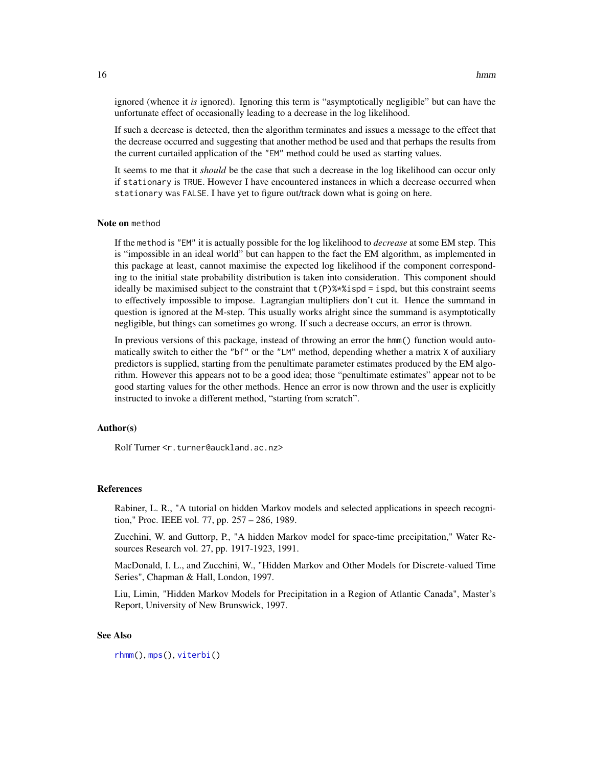<span id="page-15-0"></span>ignored (whence it *is* ignored). Ignoring this term is "asymptotically negligible" but can have the unfortunate effect of occasionally leading to a decrease in the log likelihood.

If such a decrease is detected, then the algorithm terminates and issues a message to the effect that the decrease occurred and suggesting that another method be used and that perhaps the results from the current curtailed application of the "EM" method could be used as starting values.

It seems to me that it *should* be the case that such a decrease in the log likelihood can occur only if stationary is TRUE. However I have encountered instances in which a decrease occurred when stationary was FALSE. I have yet to figure out/track down what is going on here.

#### Note on method

If the method is "EM" it is actually possible for the log likelihood to *decrease* at some EM step. This is "impossible in an ideal world" but can happen to the fact the EM algorithm, as implemented in this package at least, cannot maximise the expected log likelihood if the component corresponding to the initial state probability distribution is taken into consideration. This component should ideally be maximised subject to the constraint that  $t(P)$ %\*%ispd = ispd, but this constraint seems to effectively impossible to impose. Lagrangian multipliers don't cut it. Hence the summand in question is ignored at the M-step. This usually works alright since the summand is asymptotically negligible, but things can sometimes go wrong. If such a decrease occurs, an error is thrown.

In previous versions of this package, instead of throwing an error the hmm() function would automatically switch to either the "bf" or the "LM" method, depending whether a matrix X of auxiliary predictors is supplied, starting from the penultimate parameter estimates produced by the EM algorithm. However this appears not to be a good idea; those "penultimate estimates" appear not to be good starting values for the other methods. Hence an error is now thrown and the user is explicitly instructed to invoke a different method, "starting from scratch".

#### Author(s)

Rolf Turner <r.turner@auckland.ac.nz>

#### References

Rabiner, L. R., "A tutorial on hidden Markov models and selected applications in speech recognition," Proc. IEEE vol. 77, pp. 257 – 286, 1989.

Zucchini, W. and Guttorp, P., "A hidden Markov model for space-time precipitation," Water Resources Research vol. 27, pp. 1917-1923, 1991.

MacDonald, I. L., and Zucchini, W., "Hidden Markov and Other Models for Discrete-valued Time Series", Chapman & Hall, London, 1997.

Liu, Limin, "Hidden Markov Models for Precipitation in a Region of Atlantic Canada", Master's Report, University of New Brunswick, 1997.

#### See Also

[rhmm\(](#page-29-1)), [mps\(](#page-23-1)), [viterbi\(](#page-39-1))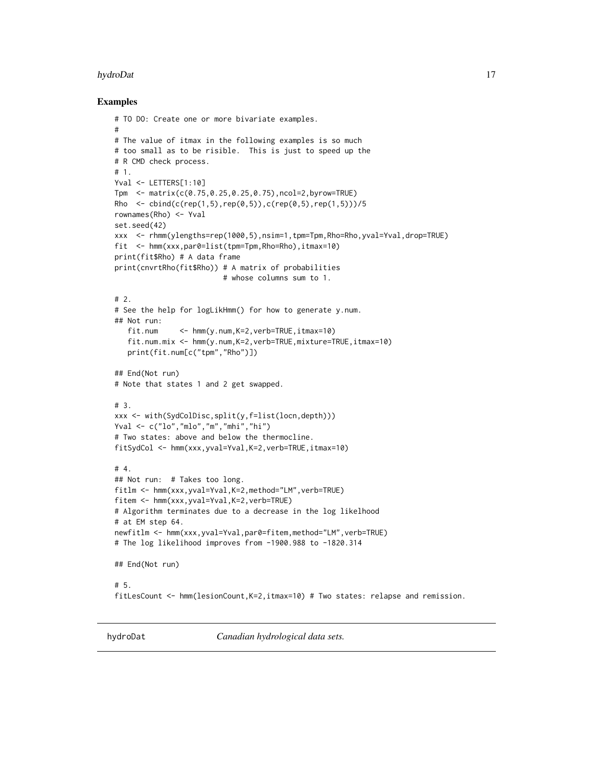#### <span id="page-16-0"></span>hydroDat 17

#### Examples

```
# TO DO: Create one or more bivariate examples.
#
# The value of itmax in the following examples is so much
# too small as to be risible. This is just to speed up the
# R CMD check process.
# 1.
Yval <- LETTERS[1:10]
Tpm <- matrix(c(0.75,0.25,0.25,0.75),ncol=2,byrow=TRUE)
Rho \le cbind(c(rep(1,5),rep(0,5)),c(rep(0,5),rep(1,5)))/5
rownames(Rho) <- Yval
set.seed(42)
xxx <- rhmm(ylengths=rep(1000,5),nsim=1,tpm=Tpm,Rho=Rho,yval=Yval,drop=TRUE)
fit <- hmm(xxx,par0=list(tpm=Tpm,Rho=Rho),itmax=10)
print(fit$Rho) # A data frame
print(cnvrtRho(fit$Rho)) # A matrix of probabilities
                         # whose columns sum to 1.
# 2.
# See the help for logLikHmm() for how to generate y.num.
## Not run:
   fit.num <- hmm(y.num,K=2,verb=TRUE,itmax=10)
   fit.num.mix <- hmm(y.num,K=2,verb=TRUE,mixture=TRUE,itmax=10)
   print(fit.num[c("tpm","Rho")])
## End(Not run)
# Note that states 1 and 2 get swapped.
# 3.
xxx <- with(SydColDisc,split(y,f=list(locn,depth)))
Yval <- c("lo","mlo","m","mhi","hi")
# Two states: above and below the thermocline.
fitSydCol <- hmm(xxx,yval=Yval,K=2,verb=TRUE,itmax=10)
# 4.
## Not run: # Takes too long.
fitlm <- hmm(xxx,yval=Yval,K=2,method="LM",verb=TRUE)
fitem <- hmm(xxx,yval=Yval,K=2,verb=TRUE)
# Algorithm terminates due to a decrease in the log likelhood
# at EM step 64.
newfitlm <- hmm(xxx,yval=Yval,par0=fitem,method="LM",verb=TRUE)
# The log likelihood improves from -1900.988 to -1820.314
## End(Not run)
# 5.
fitLesCount <- hmm(lesionCount,K=2,itmax=10) # Two states: relapse and remission.
```
hydroDat *Canadian hydrological data sets.*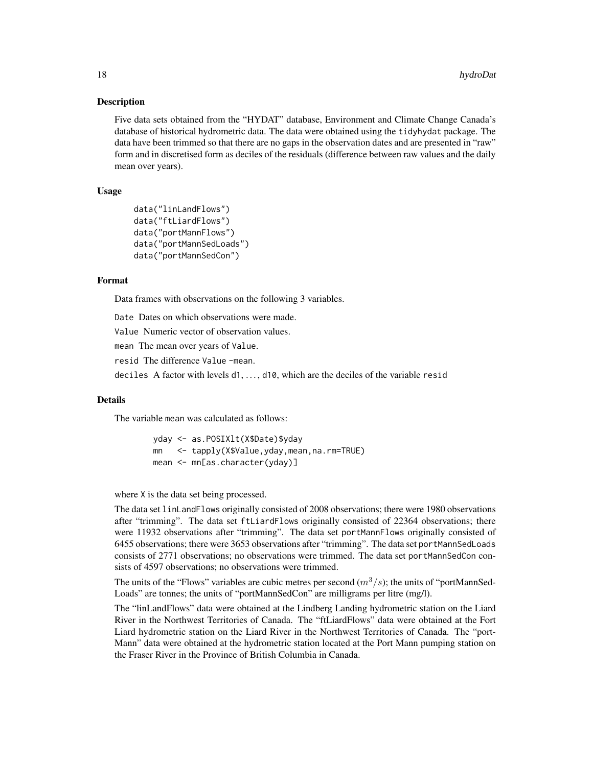#### **Description**

Five data sets obtained from the "HYDAT" database, Environment and Climate Change Canada's database of historical hydrometric data. The data were obtained using the tidyhydat package. The data have been trimmed so that there are no gaps in the observation dates and are presented in "raw" form and in discretised form as deciles of the residuals (difference between raw values and the daily mean over years).

## Usage

```
data("linLandFlows")
data("ftLiardFlows")
data("portMannFlows")
data("portMannSedLoads")
data("portMannSedCon")
```
#### Format

Data frames with observations on the following 3 variables.

Date Dates on which observations were made.

Value Numeric vector of observation values.

mean The mean over years of Value.

resid The difference Value -mean.

deciles A factor with levels d1, . . . , d10, which are the deciles of the variable resid

#### Details

The variable mean was calculated as follows:

yday <- as.POSIXlt(X\$Date)\$yday mn <- tapply(X\$Value,yday,mean,na.rm=TRUE) mean <- mn[as.character(yday)]

where X is the data set being processed.

The data set linLandFlows originally consisted of 2008 observations; there were 1980 observations after "trimming". The data set ftLiardFlows originally consisted of 22364 observations; there were 11932 observations after "trimming". The data set portMannFlows originally consisted of 6455 observations; there were 3653 observations after "trimming". The data set portMannSedLoads consists of 2771 observations; no observations were trimmed. The data set portMannSedCon consists of 4597 observations; no observations were trimmed.

The units of the "Flows" variables are cubic metres per second  $(m^3/s)$ ; the units of "portMannSed-Loads" are tonnes; the units of "portMannSedCon" are milligrams per litre (mg/l).

The "linLandFlows" data were obtained at the Lindberg Landing hydrometric station on the Liard River in the Northwest Territories of Canada. The "ftLiardFlows" data were obtained at the Fort Liard hydrometric station on the Liard River in the Northwest Territories of Canada. The "port-Mann" data were obtained at the hydrometric station located at the Port Mann pumping station on the Fraser River in the Province of British Columbia in Canada.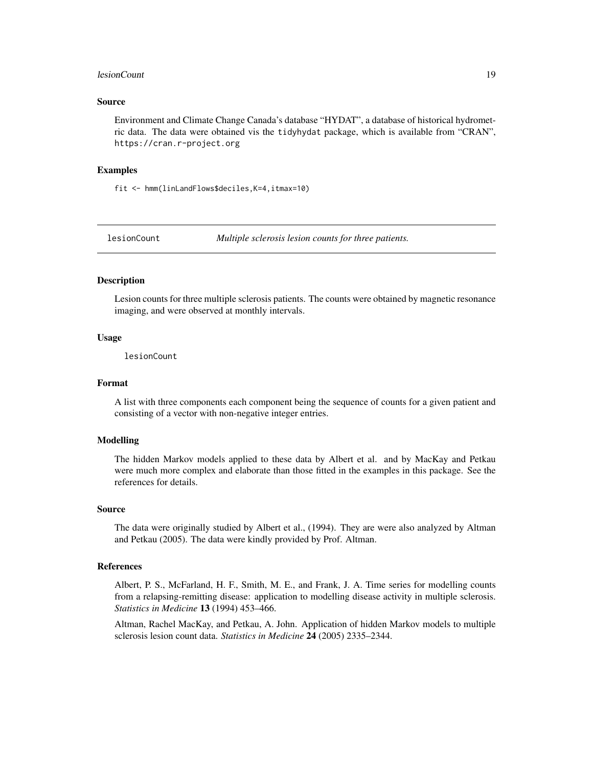#### <span id="page-18-0"></span>lesionCount 19

#### Source

Environment and Climate Change Canada's database "HYDAT", a database of historical hydrometric data. The data were obtained vis the tidyhydat package, which is available from "CRAN", https://cran.r-project.org

#### Examples

fit <- hmm(linLandFlows\$deciles,K=4,itmax=10)

lesionCount *Multiple sclerosis lesion counts for three patients.*

# Description

Lesion counts for three multiple sclerosis patients. The counts were obtained by magnetic resonance imaging, and were observed at monthly intervals.

#### Usage

lesionCount

#### Format

A list with three components each component being the sequence of counts for a given patient and consisting of a vector with non-negative integer entries.

#### Modelling

The hidden Markov models applied to these data by Albert et al. and by MacKay and Petkau were much more complex and elaborate than those fitted in the examples in this package. See the references for details.

#### Source

The data were originally studied by Albert et al., (1994). They are were also analyzed by Altman and Petkau (2005). The data were kindly provided by Prof. Altman.

#### References

Albert, P. S., McFarland, H. F., Smith, M. E., and Frank, J. A. Time series for modelling counts from a relapsing-remitting disease: application to modelling disease activity in multiple sclerosis. *Statistics in Medicine* 13 (1994) 453–466.

Altman, Rachel MacKay, and Petkau, A. John. Application of hidden Markov models to multiple sclerosis lesion count data. *Statistics in Medicine* 24 (2005) 2335–2344.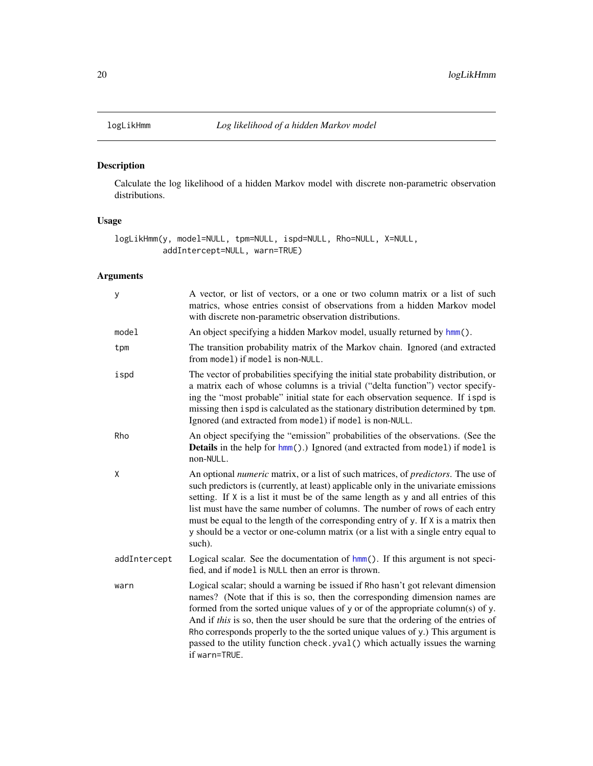<span id="page-19-0"></span>

# Description

Calculate the log likelihood of a hidden Markov model with discrete non-parametric observation distributions.

# Usage

logLikHmm(y, model=NULL, tpm=NULL, ispd=NULL, Rho=NULL, X=NULL, addIntercept=NULL, warn=TRUE)

| У            | A vector, or list of vectors, or a one or two column matrix or a list of such<br>matrics, whose entries consist of observations from a hidden Markov model<br>with discrete non-parametric observation distributions.                                                                                                                                                                                                                                                                                                                              |
|--------------|----------------------------------------------------------------------------------------------------------------------------------------------------------------------------------------------------------------------------------------------------------------------------------------------------------------------------------------------------------------------------------------------------------------------------------------------------------------------------------------------------------------------------------------------------|
| model        | An object specifying a hidden Markov model, usually returned by hmm().                                                                                                                                                                                                                                                                                                                                                                                                                                                                             |
| tpm          | The transition probability matrix of the Markov chain. Ignored (and extracted<br>from model) if model is non-NULL.                                                                                                                                                                                                                                                                                                                                                                                                                                 |
| ispd         | The vector of probabilities specifying the initial state probability distribution, or<br>a matrix each of whose columns is a trivial ("delta function") vector specify-<br>ing the "most probable" initial state for each observation sequence. If ispd is<br>missing then ispd is calculated as the stationary distribution determined by tpm.<br>Ignored (and extracted from model) if model is non-NULL.                                                                                                                                        |
| Rho          | An object specifying the "emission" probabilities of the observations. (See the<br><b>Details</b> in the help for hmm().) Ignored (and extracted from model) if model is<br>non-NULL.                                                                                                                                                                                                                                                                                                                                                              |
| Χ            | An optional <i>numeric</i> matrix, or a list of such matrices, of <i>predictors</i> . The use of<br>such predictors is (currently, at least) applicable only in the univariate emissions<br>setting. If X is a list it must be of the same length as y and all entries of this<br>list must have the same number of columns. The number of rows of each entry<br>must be equal to the length of the corresponding entry of y. If X is a matrix then<br>y should be a vector or one-column matrix (or a list with a single entry equal to<br>such). |
| addIntercept | Logical scalar. See the documentation of hmm(). If this argument is not speci-<br>fied, and if model is NULL then an error is thrown.                                                                                                                                                                                                                                                                                                                                                                                                              |
| warn         | Logical scalar; should a warning be issued if Rho hasn't got relevant dimension<br>names? (Note that if this is so, then the corresponding dimension names are<br>formed from the sorted unique values of y or of the appropriate column(s) of y.<br>And if this is so, then the user should be sure that the ordering of the entries of<br>Rho corresponds properly to the the sorted unique values of y.) This argument is<br>passed to the utility function check. yval () which actually issues the warning<br>if warn=TRUE.                   |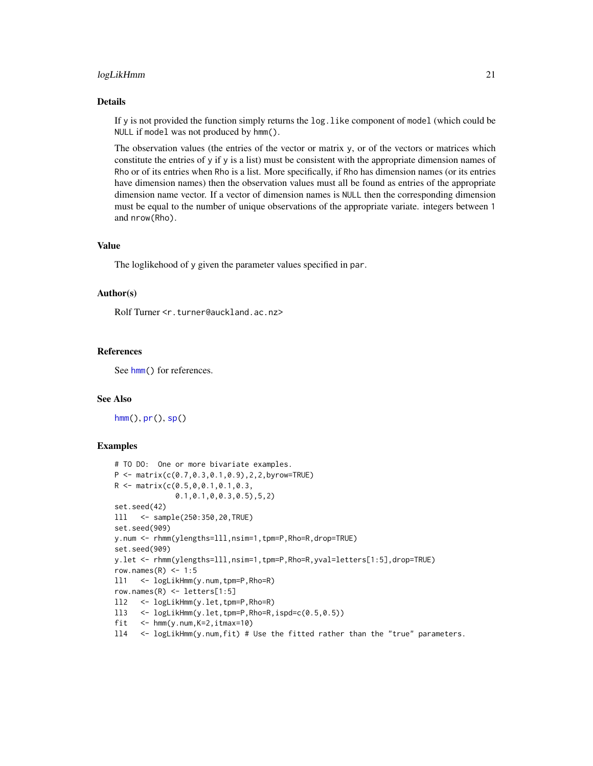#### <span id="page-20-0"></span>logLikHmm 21

#### Details

If y is not provided the function simply returns the log.like component of model (which could be NULL if model was not produced by hmm().

The observation values (the entries of the vector or matrix y, or of the vectors or matrices which constitute the entries of y if y is a list) must be consistent with the appropriate dimension names of Rho or of its entries when Rho is a list. More specifically, if Rho has dimension names (or its entries have dimension names) then the observation values must all be found as entries of the appropriate dimension name vector. If a vector of dimension names is NULL then the corresponding dimension must be equal to the number of unique observations of the appropriate variate. integers between 1 and nrow(Rho).

## Value

The loglikehood of y given the parameter values specified in par.

#### Author(s)

Rolf Turner <r.turner@auckland.ac.nz>

#### References

See [hmm\(](#page-6-1)) for references.

#### See Also

 $hmm(), pr(), sp()$  $hmm(), pr(), sp()$  $hmm(), pr(), sp()$  $hmm(), pr(), sp()$  $hmm(), pr(), sp()$  $hmm(), pr(), sp()$ 

#### Examples

```
# TO DO: One or more bivariate examples.
P \leq - matrix(c(0.7, 0.3, 0.1, 0.9), 2, 2, byrow=TRUE)
R <- matrix(c(0.5,0,0.1,0.1,0.3,
              0.1,0.1,0,0.3,0.5),5,2)
set.seed(42)
lll <- sample(250:350,20,TRUE)
set.seed(909)
y.num <- rhmm(ylengths=lll,nsim=1,tpm=P,Rho=R,drop=TRUE)
set.seed(909)
y.let <- rhmm(ylengths=lll,nsim=1,tpm=P,Rho=R,yval=letters[1:5],drop=TRUE)
row.names(R) <- 1:5
ll1 <- logLikHmm(y.num,tpm=P,Rho=R)
row.names(R) <- letters[1:5]
ll2 <- logLikHmm(y.let,tpm=P,Rho=R)
ll3 <- logLikHmm(y.let,tpm=P,Rho=R,ispd=c(0.5,0.5))
fit <- hmm(y.num, K=2, itmax=10)
ll4 <- logLikHmm(y.num,fit) # Use the fitted rather than the "true" parameters.
```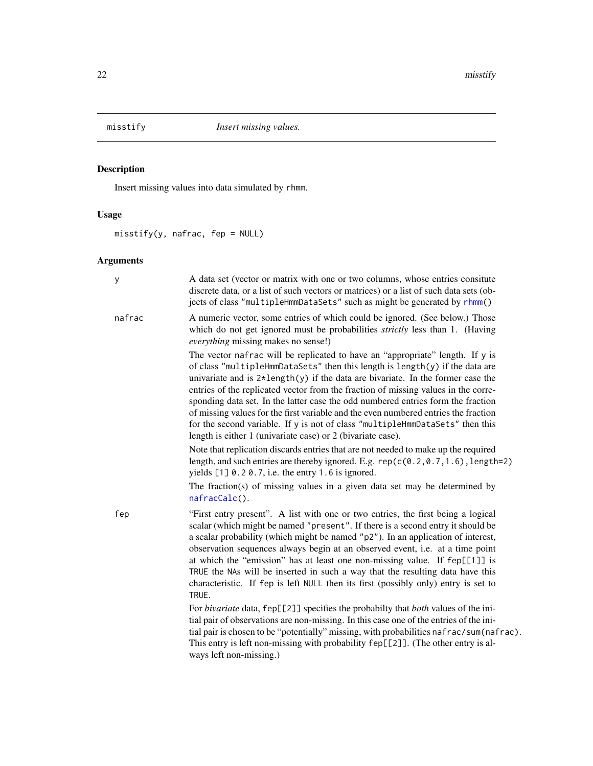<span id="page-21-1"></span><span id="page-21-0"></span>

# Description

Insert missing values into data simulated by rhmm.

# Usage

misstify(y, nafrac, fep = NULL)

| У      | A data set (vector or matrix with one or two columns, whose entries consitute<br>discrete data, or a list of such vectors or matrices) or a list of such data sets (ob-<br>jects of class "multipleHmmDataSets" such as might be generated by rhmm()                                                                                                                                                                                                                                                                                                                                                                                                                             |
|--------|----------------------------------------------------------------------------------------------------------------------------------------------------------------------------------------------------------------------------------------------------------------------------------------------------------------------------------------------------------------------------------------------------------------------------------------------------------------------------------------------------------------------------------------------------------------------------------------------------------------------------------------------------------------------------------|
| nafrac | A numeric vector, some entries of which could be ignored. (See below.) Those<br>which do not get ignored must be probabilities <i>strictly</i> less than 1. (Having<br>everything missing makes no sense!)                                                                                                                                                                                                                                                                                                                                                                                                                                                                       |
|        | The vector nafrac will be replicated to have an "appropriate" length. If y is<br>of class "multipleHmmDataSets" then this length is length(y) if the data are<br>univariate and is $2 \star \text{length}(y)$ if the data are bivariate. In the former case the<br>entries of the replicated vector from the fraction of missing values in the corre-<br>sponding data set. In the latter case the odd numbered entries form the fraction<br>of missing values for the first variable and the even numbered entries the fraction<br>for the second variable. If y is not of class "multipleHmmDataSets" then this<br>length is either 1 (univariate case) or 2 (bivariate case). |
|        | Note that replication discards entries that are not needed to make up the required<br>length, and such entries are thereby ignored. E.g. $rep(c(0.2, 0.7, 1.6), length=2)$<br>yields $[1]$ 0.20.7, i.e. the entry 1.6 is ignored.                                                                                                                                                                                                                                                                                                                                                                                                                                                |
|        | The fraction(s) of missing values in a given data set may be determined by<br>nafracCalc().                                                                                                                                                                                                                                                                                                                                                                                                                                                                                                                                                                                      |
| fep    | "First entry present". A list with one or two entries, the first being a logical<br>scalar (which might be named "present". If there is a second entry it should be<br>a scalar probability (which might be named "p2"). In an application of interest,<br>observation sequences always begin at an observed event, i.e. at a time point<br>at which the "emission" has at least one non-missing value. If fep[[1]] is<br>TRUE the NAs will be inserted in such a way that the resulting data have this<br>characteristic. If fep is left NULL then its first (possibly only) entry is set to<br>TRUE.                                                                           |
|        | For <i>bivariate</i> data, fep[[2]] specifies the probabilty that <i>both</i> values of the ini-<br>tial pair of observations are non-missing. In this case one of the entries of the ini-<br>tial pair is chosen to be "potentially" missing, with probabilities nafrac/sum(nafrac).<br>This entry is left non-missing with probability fep[[2]]. (The other entry is al-<br>ways left non-missing.)                                                                                                                                                                                                                                                                            |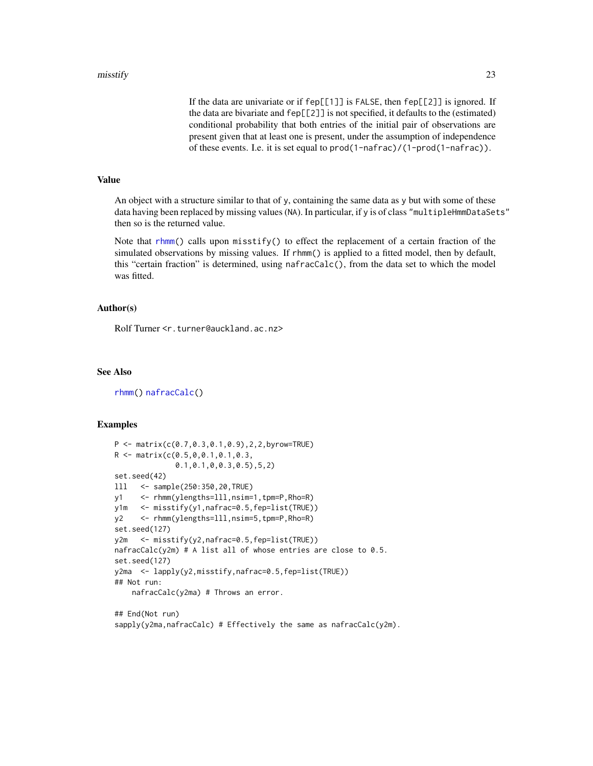<span id="page-22-0"></span>If the data are univariate or if fep[[1]] is FALSE, then fep[[2]] is ignored. If the data are bivariate and fep[[2]] is not specified, it defaults to the (estimated) conditional probability that both entries of the initial pair of observations are present given that at least one is present, under the assumption of independence of these events. I.e. it is set equal to prod(1-nafrac)/(1-prod(1-nafrac)).

#### Value

An object with a structure similar to that of y, containing the same data as y but with some of these data having been replaced by missing values (NA). In particular, if y is of class "multipleHmmDataSets" then so is the returned value.

Note that [rhmm\(](#page-29-1)) calls upon misstify() to effect the replacement of a certain fraction of the simulated observations by missing values. If rhmm() is applied to a fitted model, then by default, this "certain fraction" is determined, using nafracCalc(), from the data set to which the model was fitted.

#### Author(s)

Rolf Turner <r.turner@auckland.ac.nz>

#### See Also

[rhmm\(](#page-29-1)) [nafracCalc\(](#page-25-1))

#### Examples

```
P \leq - matrix(c(0.7,0.3,0.1,0.9),2,2,byrow=TRUE)
R <- matrix(c(0.5,0,0.1,0.1,0.3,
              0.1,0.1,0,0.3,0.5),5,2)
set.seed(42)
lll <- sample(250:350,20,TRUE)
y1 <- rhmm(ylengths=lll,nsim=1,tpm=P,Rho=R)
y1m <- misstify(y1,nafrac=0.5,fep=list(TRUE))
y2 <- rhmm(ylengths=lll,nsim=5,tpm=P,Rho=R)
set.seed(127)
y2m <- misstify(y2,nafrac=0.5,fep=list(TRUE))
nafracCalc(y2m) # A list all of whose entries are close to 0.5.
set.seed(127)
y2ma <- lapply(y2,misstify,nafrac=0.5,fep=list(TRUE))
## Not run:
    nafracCalc(y2ma) # Throws an error.
```
## End(Not run) sapply(y2ma,nafracCalc) # Effectively the same as nafracCalc(y2m).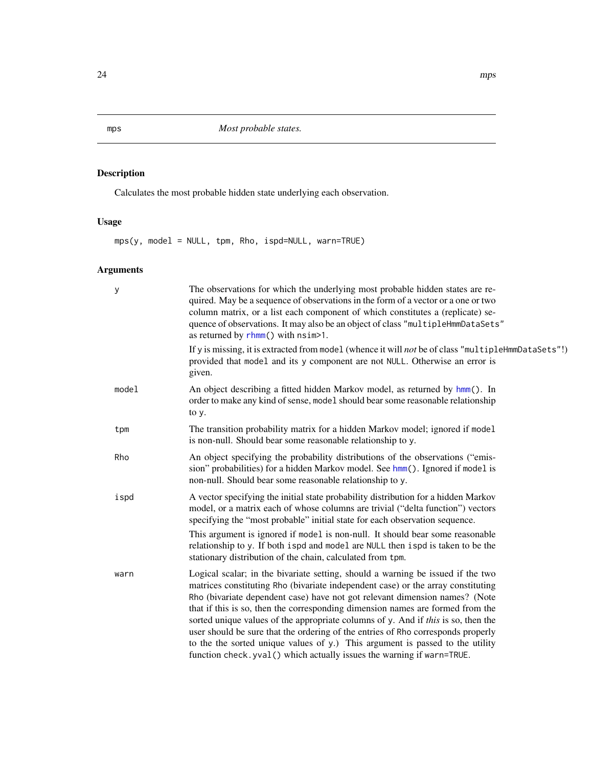# Description

Calculates the most probable hidden state underlying each observation.

# Usage

mps(y, model = NULL, tpm, Rho, ispd=NULL, warn=TRUE)

| У     | The observations for which the underlying most probable hidden states are re-<br>quired. May be a sequence of observations in the form of a vector or a one or two<br>column matrix, or a list each component of which constitutes a (replicate) se-<br>quence of observations. It may also be an object of class "multipleHmmDataSets"<br>as returned by $r$ hmm() with $nsim>1$ .                                                                                                                                                                                                                                                                                     |
|-------|-------------------------------------------------------------------------------------------------------------------------------------------------------------------------------------------------------------------------------------------------------------------------------------------------------------------------------------------------------------------------------------------------------------------------------------------------------------------------------------------------------------------------------------------------------------------------------------------------------------------------------------------------------------------------|
|       | If y is missing, it is extracted from model (whence it will not be of class "multipleHmmDataSets"!)<br>provided that model and its y component are not NULL. Otherwise an error is<br>given.                                                                                                                                                                                                                                                                                                                                                                                                                                                                            |
| model | An object describing a fitted hidden Markov model, as returned by hmm(). In<br>order to make any kind of sense, model should bear some reasonable relationship<br>to y.                                                                                                                                                                                                                                                                                                                                                                                                                                                                                                 |
| tpm   | The transition probability matrix for a hidden Markov model; ignored if model<br>is non-null. Should bear some reasonable relationship to y.                                                                                                                                                                                                                                                                                                                                                                                                                                                                                                                            |
| Rho   | An object specifying the probability distributions of the observations ("emis-<br>sion" probabilities) for a hidden Markov model. See hmm(). Ignored if model is<br>non-null. Should bear some reasonable relationship to y.                                                                                                                                                                                                                                                                                                                                                                                                                                            |
| ispd  | A vector specifying the initial state probability distribution for a hidden Markov<br>model, or a matrix each of whose columns are trivial ("delta function") vectors<br>specifying the "most probable" initial state for each observation sequence.<br>This argument is ignored if model is non-null. It should bear some reasonable<br>relationship to y. If both ispd and model are NULL then ispd is taken to be the<br>stationary distribution of the chain, calculated from tpm.                                                                                                                                                                                  |
| warn  | Logical scalar; in the bivariate setting, should a warning be issued if the two<br>matrices constituting Rho (bivariate independent case) or the array constituting<br>Rho (bivariate dependent case) have not got relevant dimension names? (Note<br>that if this is so, then the corresponding dimension names are formed from the<br>sorted unique values of the appropriate columns of y. And if this is so, then the<br>user should be sure that the ordering of the entries of Rho corresponds properly<br>to the the sorted unique values of y.) This argument is passed to the utility<br>function check.yval() which actually issues the warning if warn=TRUE. |

<span id="page-23-1"></span><span id="page-23-0"></span>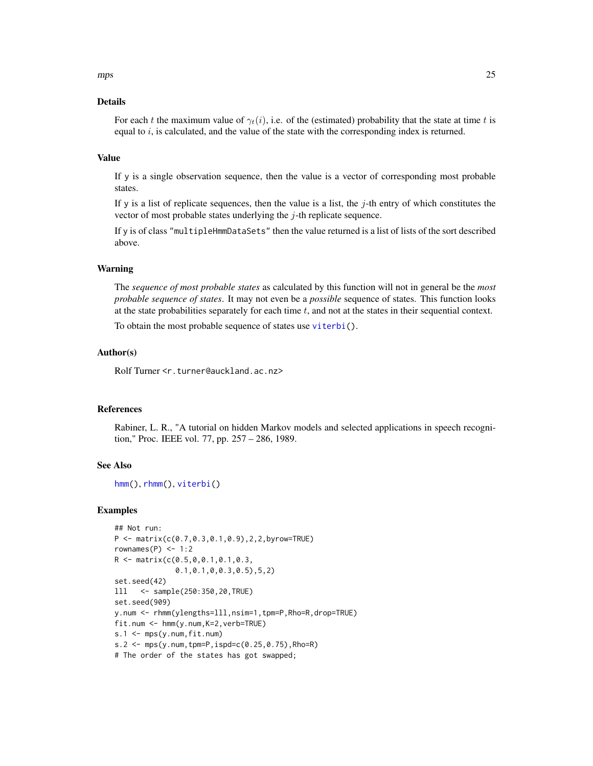#### <span id="page-24-0"></span>Details

For each t the maximum value of  $\gamma_t(i)$ , i.e. of the (estimated) probability that the state at time t is equal to  $i$ , is calculated, and the value of the state with the corresponding index is returned.

#### Value

If y is a single observation sequence, then the value is a vector of corresponding most probable states.

If y is a list of replicate sequences, then the value is a list, the  $j$ -th entry of which constitutes the vector of most probable states underlying the  $j$ -th replicate sequence.

If y is of class "multipleHmmDataSets" then the value returned is a list of lists of the sort described above.

#### Warning

The *sequence of most probable states* as calculated by this function will not in general be the *most probable sequence of states*. It may not even be a *possible* sequence of states. This function looks at the state probabilities separately for each time  $t$ , and not at the states in their sequential context.

To obtain the most probable sequence of states use [viterbi\(](#page-39-1)).

#### Author(s)

Rolf Turner <r.turner@auckland.ac.nz>

#### References

Rabiner, L. R., "A tutorial on hidden Markov models and selected applications in speech recognition," Proc. IEEE vol. 77, pp. 257 – 286, 1989.

#### See Also

```
hmm(), rhmm(), viterbi()
```
#### Examples

```
## Not run:
P <- matrix(c(0.7,0.3,0.1,0.9),2,2,byrow=TRUE)
rownames(P) <- 1:2
R <- matrix(c(0.5,0,0.1,0.1,0.3,
              0.1,0.1,0,0.3,0.5),5,2)
set.seed(42)
lll <- sample(250:350,20,TRUE)
set.seed(909)
y.num <- rhmm(ylengths=lll,nsim=1,tpm=P,Rho=R,drop=TRUE)
fit.num <- hmm(y.num,K=2,verb=TRUE)
s.1 \leftarrow mps(y.num, fit.num)s.2 <- mps(y.num, tpm=P, ispd=c(0.25, 0.75), Rho=R)
# The order of the states has got swapped;
```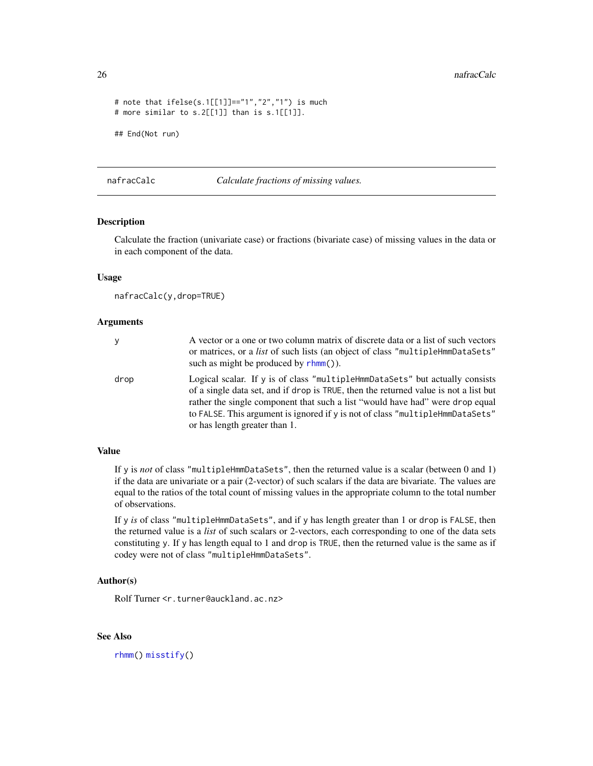```
# note that ifelse(s.1[[1]]=="1","2","1") is much
# more similar to s.2[[1]] than is s.1[[1]].
## End(Not run)
```
<span id="page-25-1"></span>nafracCalc *Calculate fractions of missing values.*

#### Description

Calculate the fraction (univariate case) or fractions (bivariate case) of missing values in the data or in each component of the data.

#### Usage

nafracCalc(y,drop=TRUE)

#### Arguments

| y    | A vector or a one or two column matrix of discrete data or a list of such vectors<br>or matrices, or a <i>list</i> of such lists (an object of class "multipleHmmDataSets"<br>such as might be produced by $r \text{hmm}()$ ).                                                                                                                                                   |
|------|----------------------------------------------------------------------------------------------------------------------------------------------------------------------------------------------------------------------------------------------------------------------------------------------------------------------------------------------------------------------------------|
| drop | Logical scalar. If $\gamma$ is of class "multiple Hmm DataSets" but actually consists<br>of a single data set, and if drop is TRUE, then the returned value is not a list but<br>rather the single component that such a list "would have had" were drop equal<br>to FALSE. This argument is ignored if y is not of class "multipleHmmDataSets"<br>or has length greater than 1. |

#### Value

If y is *not* of class "multipleHmmDataSets", then the returned value is a scalar (between 0 and 1) if the data are univariate or a pair (2-vector) of such scalars if the data are bivariate. The values are equal to the ratios of the total count of missing values in the appropriate column to the total number of observations.

If y *is* of class "multipleHmmDataSets", and if y has length greater than 1 or drop is FALSE, then the returned value is a *list* of such scalars or 2-vectors, each corresponding to one of the data sets constituting y. If y has length equal to 1 and drop is TRUE, then the returned value is the same as if codey were not of class "multipleHmmDataSets".

#### Author(s)

Rolf Turner <r.turner@auckland.ac.nz>

# See Also

[rhmm\(](#page-29-1)) [misstify\(](#page-21-1))

<span id="page-25-0"></span>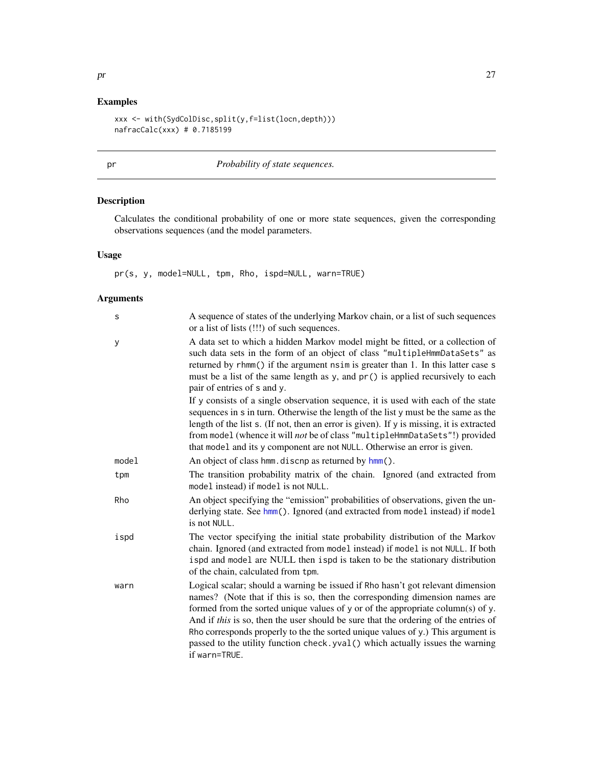# <span id="page-26-0"></span>Examples

```
xxx <- with(SydColDisc,split(y,f=list(locn,depth)))
nafracCalc(xxx) # 0.7185199
```
# <span id="page-26-1"></span>pr *Probability of state sequences.*

# Description

Calculates the conditional probability of one or more state sequences, given the corresponding observations sequences (and the model parameters.

# Usage

pr(s, y, model=NULL, tpm, Rho, ispd=NULL, warn=TRUE)

| S     | A sequence of states of the underlying Markov chain, or a list of such sequences<br>or a list of lists (!!!) of such sequences.                                                                                                                                                                                                                                                                                                                                                                                                  |
|-------|----------------------------------------------------------------------------------------------------------------------------------------------------------------------------------------------------------------------------------------------------------------------------------------------------------------------------------------------------------------------------------------------------------------------------------------------------------------------------------------------------------------------------------|
| y     | A data set to which a hidden Markov model might be fitted, or a collection of<br>such data sets in the form of an object of class "multipleHmmDataSets" as<br>returned by rhmm() if the argument nsim is greater than 1. In this latter case s<br>must be a list of the same length as y, and pr() is applied recursively to each<br>pair of entries of s and y.                                                                                                                                                                 |
|       | If y consists of a single observation sequence, it is used with each of the state<br>sequences in s in turn. Otherwise the length of the list y must be the same as the<br>length of the list s. (If not, then an error is given). If y is missing, it is extracted<br>from model (whence it will not be of class "multipleHmmDataSets"!) provided<br>that model and its y component are not NULL. Otherwise an error is given.                                                                                                  |
| model | An object of class hmm. discnp as returned by hmm().                                                                                                                                                                                                                                                                                                                                                                                                                                                                             |
| tpm   | The transition probability matrix of the chain. Ignored (and extracted from<br>model instead) if model is not NULL.                                                                                                                                                                                                                                                                                                                                                                                                              |
| Rho   | An object specifying the "emission" probabilities of observations, given the un-<br>derlying state. See hmm(). Ignored (and extracted from model instead) if model<br>is not NULL.                                                                                                                                                                                                                                                                                                                                               |
| ispd  | The vector specifying the initial state probability distribution of the Markov<br>chain. Ignored (and extracted from model instead) if model is not NULL. If both<br>ispd and model are NULL then ispd is taken to be the stationary distribution<br>of the chain, calculated from tpm.                                                                                                                                                                                                                                          |
| warn  | Logical scalar; should a warning be issued if Rho hasn't got relevant dimension<br>names? (Note that if this is so, then the corresponding dimension names are<br>formed from the sorted unique values of y or of the appropriate column(s) of y.<br>And if this is so, then the user should be sure that the ordering of the entries of<br>Rho corresponds properly to the the sorted unique values of y.) This argument is<br>passed to the utility function check. yval () which actually issues the warning<br>if warn=TRUE. |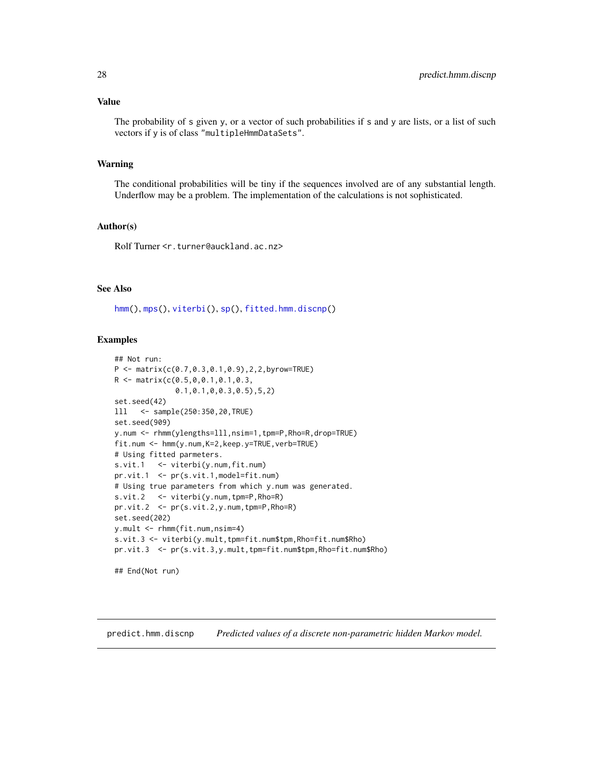#### <span id="page-27-0"></span>Value

The probability of s given y, or a vector of such probabilities if s and y are lists, or a list of such vectors if y is of class "multipleHmmDataSets".

#### Warning

The conditional probabilities will be tiny if the sequences involved are of any substantial length. Underflow may be a problem. The implementation of the calculations is not sophisticated.

#### Author(s)

Rolf Turner <r.turner@auckland.ac.nz>

#### See Also

[hmm\(](#page-6-1)), [mps\(](#page-23-1)), [viterbi\(](#page-39-1)), [sp\(](#page-32-1)), [fitted.hmm.discnp\(](#page-4-1))

#### Examples

```
## Not run:
P <- matrix(c(0.7,0.3,0.1,0.9),2,2,byrow=TRUE)
R <- matrix(c(0.5,0,0.1,0.1,0.3,
              0.1,0.1,0,0.3,0.5),5,2)
set.seed(42)
lll <- sample(250:350,20,TRUE)
set.seed(909)
y.num <- rhmm(ylengths=lll,nsim=1,tpm=P,Rho=R,drop=TRUE)
fit.num <- hmm(y.num,K=2,keep.y=TRUE,verb=TRUE)
# Using fitted parmeters.
s.vit.1 <- viterbi(y.num, fit.num)
pr.vit.1 <- pr(s.vit.1,model=fit.num)
# Using true parameters from which y.num was generated.
s.vit.2 <- viterbi(y.num,tpm=P,Rho=R)
pr.vit.2 <- pr(s.vit.2,y.num,tpm=P,Rho=R)
set.seed(202)
y.mult <- rhmm(fit.num,nsim=4)
s.vit.3 <- viterbi(y.mult,tpm=fit.num$tpm,Rho=fit.num$Rho)
pr.vit.3 <- pr(s.vit.3,y.mult,tpm=fit.num$tpm,Rho=fit.num$Rho)
```
## End(Not run)

predict.hmm.discnp *Predicted values of a discrete non-parametric hidden Markov model.*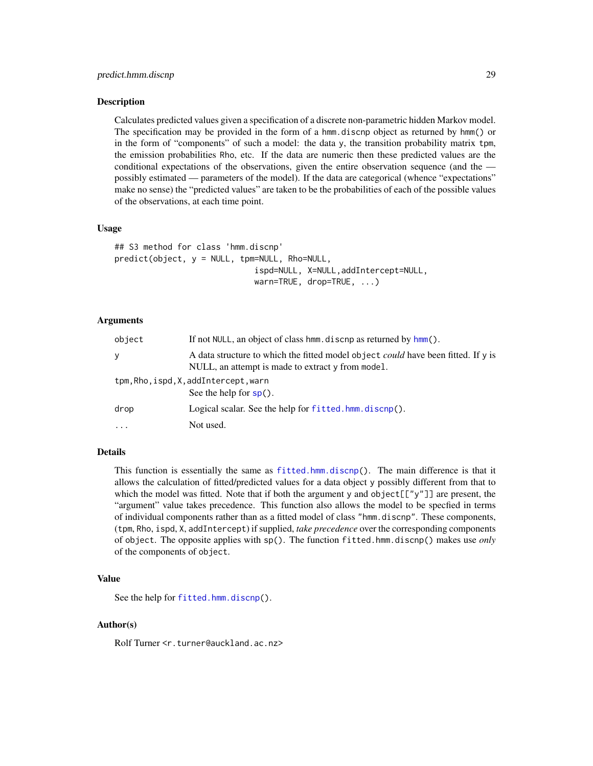#### <span id="page-28-0"></span>**Description**

Calculates predicted values given a specification of a discrete non-parametric hidden Markov model. The specification may be provided in the form of a hmm.discnp object as returned by hmm() or in the form of "components" of such a model: the data y, the transition probability matrix tpm, the emission probabilities Rho, etc. If the data are numeric then these predicted values are the conditional expectations of the observations, given the entire observation sequence (and the possibly estimated — parameters of the model). If the data are categorical (whence "expectations" make no sense) the "predicted values" are taken to be the probabilities of each of the possible values of the observations, at each time point.

#### Usage

```
## S3 method for class 'hmm.discnp'
predict(object, y = NULL, tpm=NULL, Rho=NULL,
                             ispd=NULL, X=NULL,addIntercept=NULL,
                             warn=TRUE, drop=TRUE, ...)
```
#### Arguments

| object  | If not NULL, an object of class hmm. discnp as returned by hmm().                                                                             |
|---------|-----------------------------------------------------------------------------------------------------------------------------------------------|
| y       | A data structure to which the fitted model object <i>could</i> have been fitted. If y is<br>NULL, an attempt is made to extract y from model. |
|         | tpm, Rho, ispd, X, addIntercept, warn<br>See the help for $sp()$ .                                                                            |
| drop    | Logical scalar. See the help for fitted.hmm.discnp().                                                                                         |
| $\cdot$ | Not used.                                                                                                                                     |

### Details

This function is essentially the same as [fitted.hmm.discnp\(](#page-4-1)). The main difference is that it allows the calculation of fitted/predicted values for a data object y possibly different from that to which the model was fitted. Note that if both the argument y and object  $[[\tilde{y} \tilde{y} \tilde{y}]]$  are present, the "argument" value takes precedence. This function also allows the model to be specfied in terms of individual components rather than as a fitted model of class "hmm.discnp". These components, (tpm, Rho, ispd, X, addIntercept) if supplied, *take precedence* over the corresponding components of object. The opposite applies with sp(). The function fitted.hmm.discnp() makes use *only* of the components of object.

#### Value

See the help for [fitted.hmm.discnp\(](#page-4-1)).

#### Author(s)

Rolf Turner <r.turner@auckland.ac.nz>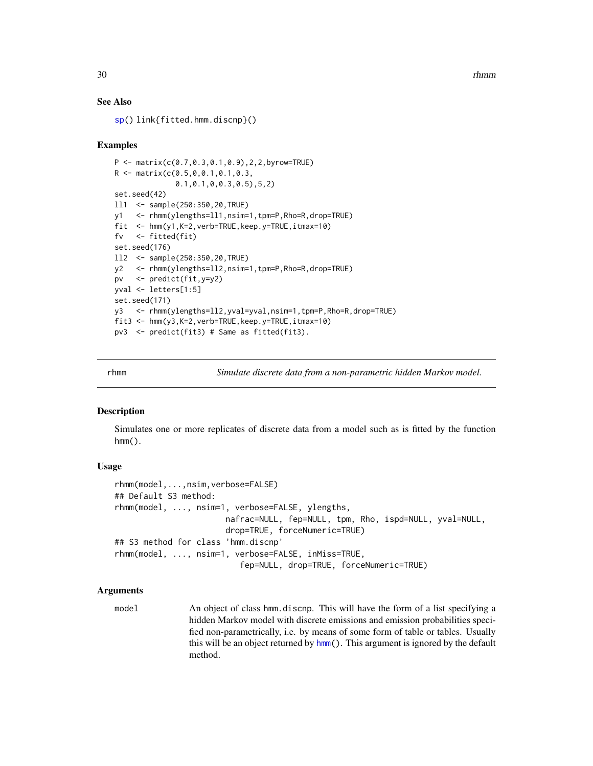30 contract to the contract of the contract of the contract of the contract of the contract of the contract of the contract of the contract of the contract of the contract of the contract of the contract of the contract of

#### See Also

[sp\(](#page-32-1)) link{fitted.hmm.discnp}()

#### Examples

```
P <- matrix(c(0.7,0.3,0.1,0.9),2,2,byrow=TRUE)
R <- matrix(c(0.5,0,0.1,0.1,0.3,
              0.1,0.1,0,0.3,0.5),5,2)
set.seed(42)
ll1 <- sample(250:350,20,TRUE)
y1 <- rhmm(ylengths=ll1,nsim=1,tpm=P,Rho=R,drop=TRUE)
fit <- hmm(y1,K=2,verb=TRUE,keep.y=TRUE,itmax=10)
fv <- fitted(fit)
set.seed(176)
ll2 <- sample(250:350,20,TRUE)
y2 <- rhmm(ylengths=ll2,nsim=1,tpm=P,Rho=R,drop=TRUE)
pv <- predict(fit,y=y2)
yval <- letters[1:5]
set.seed(171)
y3 <- rhmm(ylengths=ll2,yval=yval,nsim=1,tpm=P,Rho=R,drop=TRUE)
fit3 <- hmm(y3,K=2,verb=TRUE,keep.y=TRUE,itmax=10)
pv3 <- predict(fit3) # Same as fitted(fit3).
```
<span id="page-29-1"></span>rhmm *Simulate discrete data from a non-parametric hidden Markov model.*

#### <span id="page-29-2"></span>**Description**

Simulates one or more replicates of discrete data from a model such as is fitted by the function  $hmm()$ .

#### Usage

```
rhmm(model,...,nsim,verbose=FALSE)
## Default S3 method:
rhmm(model, ..., nsim=1, verbose=FALSE, ylengths,
                       nafrac=NULL, fep=NULL, tpm, Rho, ispd=NULL, yval=NULL,
                       drop=TRUE, forceNumeric=TRUE)
## S3 method for class 'hmm.discnp'
rhmm(model, ..., nsim=1, verbose=FALSE, inMiss=TRUE,
                          fep=NULL, drop=TRUE, forceNumeric=TRUE)
```
#### Arguments

model An object of class hmm.discnp. This will have the form of a list specifying a hidden Markov model with discrete emissions and emission probabilities specified non-parametrically, i.e. by means of some form of table or tables. Usually this will be an object returned by [hmm\(](#page-6-1)). This argument is ignored by the default method.

<span id="page-29-0"></span>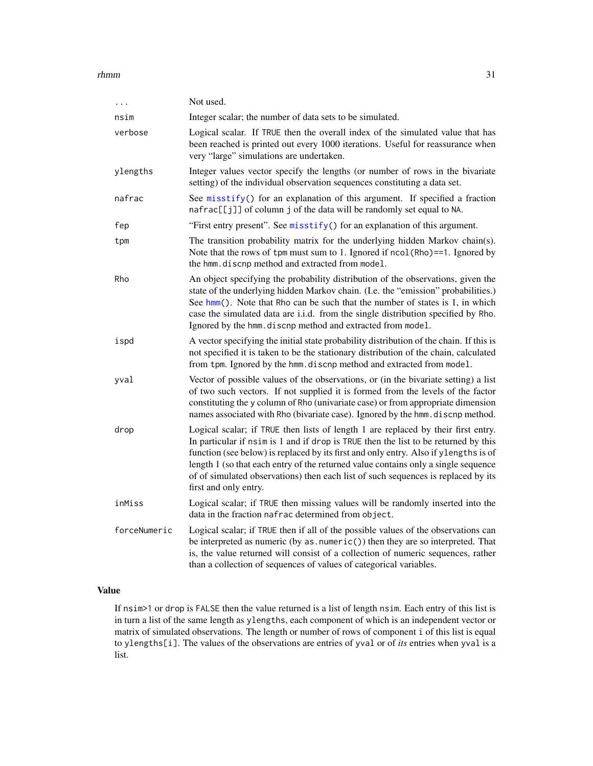#### <span id="page-30-0"></span> $r$ hmm  $31$

|              | Not used.                                                                                                                                                                                                                                                                                                                                                                                                                                                           |
|--------------|---------------------------------------------------------------------------------------------------------------------------------------------------------------------------------------------------------------------------------------------------------------------------------------------------------------------------------------------------------------------------------------------------------------------------------------------------------------------|
| nsim         | Integer scalar; the number of data sets to be simulated.                                                                                                                                                                                                                                                                                                                                                                                                            |
| verbose      | Logical scalar. If TRUE then the overall index of the simulated value that has<br>been reached is printed out every 1000 iterations. Useful for reassurance when<br>very "large" simulations are undertaken.                                                                                                                                                                                                                                                        |
| ylengths     | Integer values vector specify the lengths (or number of rows in the bivariate<br>setting) of the individual observation sequences constituting a data set.                                                                                                                                                                                                                                                                                                          |
| nafrac       | See misstify() for an explanation of this argument. If specified a fraction<br>nafrac[[j]] of column j of the data will be randomly set equal to NA.                                                                                                                                                                                                                                                                                                                |
| fep          | "First entry present". See misstify() for an explanation of this argument.                                                                                                                                                                                                                                                                                                                                                                                          |
| tpm          | The transition probability matrix for the underlying hidden Markov chain(s).<br>Note that the rows of tpm must sum to 1. Ignored if ncol (Rho)==1. Ignored by<br>the hmm. discnp method and extracted from model.                                                                                                                                                                                                                                                   |
| Rho          | An object specifying the probability distribution of the observations, given the<br>state of the underlying hidden Markov chain. (I.e. the "emission" probabilities.)<br>See $hmm$ (). Note that Rho can be such that the number of states is 1, in which<br>case the simulated data are i.i.d. from the single distribution specified by Rho.<br>Ignored by the hmm. discnp method and extracted from model.                                                       |
| ispd         | A vector specifying the initial state probability distribution of the chain. If this is<br>not specified it is taken to be the stationary distribution of the chain, calculated<br>from tpm. Ignored by the hmm. discnp method and extracted from model.                                                                                                                                                                                                            |
| vval         | Vector of possible values of the observations, or (in the bivariate setting) a list<br>of two such vectors. If not supplied it is formed from the levels of the factor<br>constituting the y column of Rho (univariate case) or from appropriate dimension<br>names associated with Rho (bivariate case). Ignored by the hmm. discnp method.                                                                                                                        |
| drop         | Logical scalar; if TRUE then lists of length 1 are replaced by their first entry.<br>In particular if nsimis 1 and if drop is TRUE then the list to be returned by this<br>function (see below) is replaced by its first and only entry. Also if ylengths is of<br>length 1 (so that each entry of the returned value contains only a single sequence<br>of of simulated observations) then each list of such sequences is replaced by its<br>first and only entry. |
| inMiss       | Logical scalar; if TRUE then missing values will be randomly inserted into the<br>data in the fraction nafrac determined from object.                                                                                                                                                                                                                                                                                                                               |
| forceNumeric | Logical scalar; if TRUE then if all of the possible values of the observations can<br>be interpreted as numeric (by $as . numberic()$ ) then they are so interpreted. That<br>is, the value returned will consist of a collection of numeric sequences, rather<br>than a collection of sequences of values of categorical variables.                                                                                                                                |

# Value

If nsim>1 or drop is FALSE then the value returned is a list of length nsim. Each entry of this list is in turn a list of the same length as ylengths, each component of which is an independent vector or matrix of simulated observations. The length or number of rows of component i of this list is equal to ylengths[i]. The values of the observations are entries of yval or of *its* entries when yval is a list.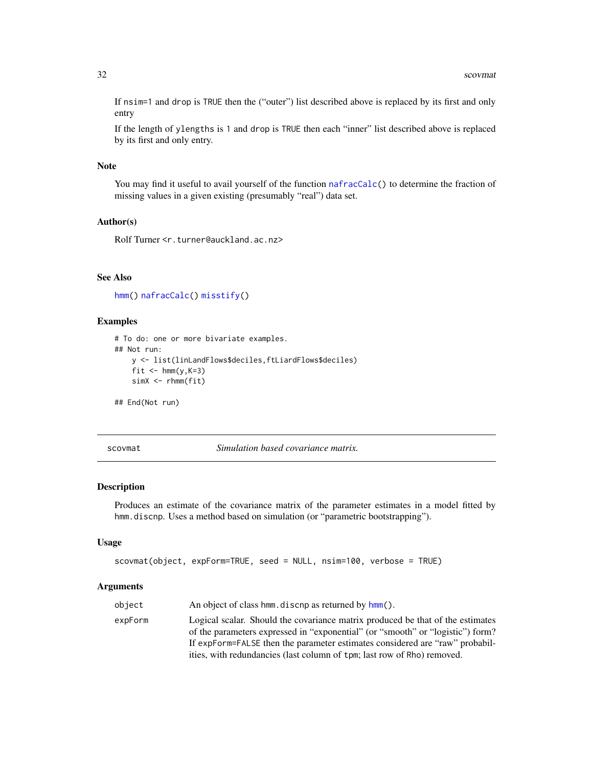If nsim=1 and drop is TRUE then the ("outer") list described above is replaced by its first and only entry

If the length of ylengths is 1 and drop is TRUE then each "inner" list described above is replaced by its first and only entry.

#### Note

You may find it useful to avail yourself of the function [nafracCalc\(](#page-25-1)) to determine the fraction of missing values in a given existing (presumably "real") data set.

#### Author(s)

Rolf Turner <r.turner@auckland.ac.nz>

# See Also

[hmm\(](#page-6-1)) [nafracCalc\(](#page-25-1)) [misstify\(](#page-21-1))

#### Examples

```
# To do: one or more bivariate examples.
## Not run:
   y <- list(linLandFlows$deciles,ftLiardFlows$deciles)
   fit \leftarrow hmm(y,K=3)
    simX < -rhmm(fit)
```
## End(Not run)

<span id="page-31-1"></span>scovmat *Simulation based covariance matrix.*

#### Description

Produces an estimate of the covariance matrix of the parameter estimates in a model fitted by hmm.discnp. Uses a method based on simulation (or "parametric bootstrapping").

#### Usage

```
scovmat(object, expForm=TRUE, seed = NULL, nsim=100, verbose = TRUE)
```

| An object of class hmm. discnp as returned by hmm().<br>object                                                                                                                                                                                                                                                                         |  |
|----------------------------------------------------------------------------------------------------------------------------------------------------------------------------------------------------------------------------------------------------------------------------------------------------------------------------------------|--|
| Logical scalar. Should the covariance matrix produced be that of the estimates<br>expForm<br>of the parameters expressed in "exponential" (or "smooth" or "logistic") form?<br>If expForm=FALSE then the parameter estimates considered are "raw" probabil-<br>ities, with redundancies (last column of tpm; last row of Rho) removed. |  |

<span id="page-31-0"></span>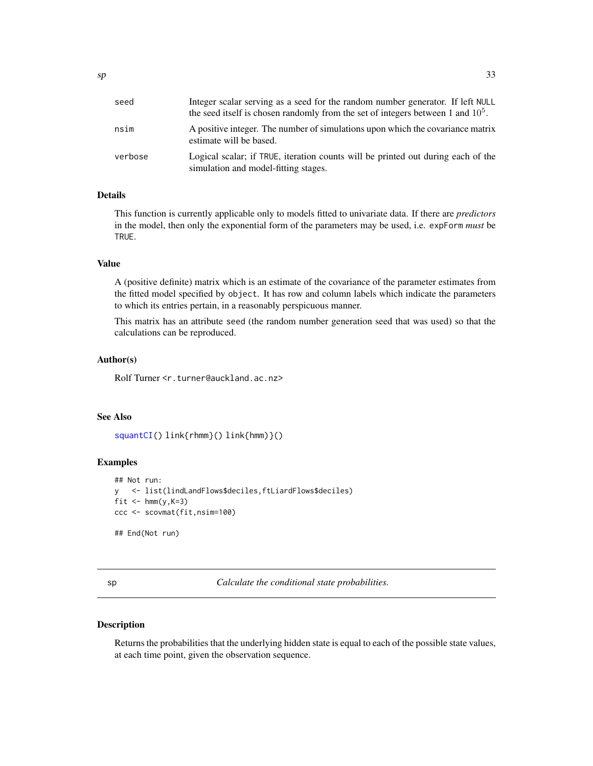<span id="page-32-0"></span>

| seed    | Integer scalar serving as a seed for the random number generator. If left NULL<br>the seed itself is chosen randomly from the set of integers between 1 and $105$ . |
|---------|---------------------------------------------------------------------------------------------------------------------------------------------------------------------|
| nsim    | A positive integer. The number of simulations upon which the covariance matrix<br>estimate will be based.                                                           |
| verbose | Logical scalar; if TRUE, iteration counts will be printed out during each of the<br>simulation and model-fitting stages.                                            |

# Details

This function is currently applicable only to models fitted to univariate data. If there are *predictors* in the model, then only the exponential form of the parameters may be used, i.e. expForm *must* be TRUE.

#### Value

A (positive definite) matrix which is an estimate of the covariance of the parameter estimates from the fitted model specified by object. It has row and column labels which indicate the parameters to which its entries pertain, in a reasonably perspicuous manner.

This matrix has an attribute seed (the random number generation seed that was used) so that the calculations can be reproduced.

#### Author(s)

Rolf Turner <r.turner@auckland.ac.nz>

### See Also

[squantCI\(](#page-34-1)) link{rhmm}() link{hmm)}()

# Examples

```
## Not run:
y <- list(lindLandFlows$deciles,ftLiardFlows$deciles)
fit \leftarrow hmm(y, K=3)
ccc <- scovmat(fit,nsim=100)
## End(Not run)
```
<span id="page-32-1"></span>sp *Calculate the conditional state probabilities.*

#### Description

Returns the probabilities that the underlying hidden state is equal to each of the possible state values, at each time point, given the observation sequence.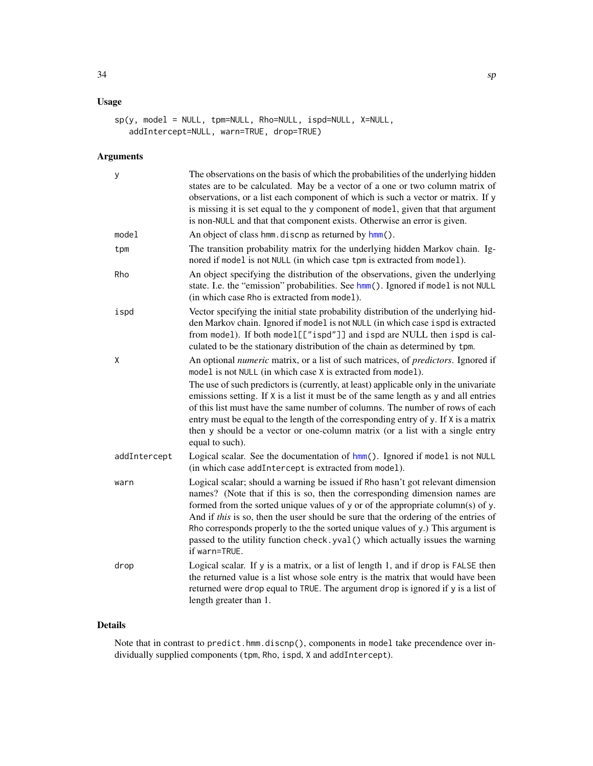# <span id="page-33-0"></span>Usage

```
sp(y, model = NULL, tpm=NULL, Rho=NULL, ispd=NULL, X=NULL,
   addIntercept=NULL, warn=TRUE, drop=TRUE)
```
# Arguments

| у            | The observations on the basis of which the probabilities of the underlying hidden<br>states are to be calculated. May be a vector of a one or two column matrix of<br>observations, or a list each component of which is such a vector or matrix. If y<br>is missing it is set equal to the y component of model, given that that argument<br>is non-NULL and that that component exists. Otherwise an error is given.                                                                                                         |
|--------------|--------------------------------------------------------------------------------------------------------------------------------------------------------------------------------------------------------------------------------------------------------------------------------------------------------------------------------------------------------------------------------------------------------------------------------------------------------------------------------------------------------------------------------|
| model        | An object of class hmm. discnp as returned by hmm().                                                                                                                                                                                                                                                                                                                                                                                                                                                                           |
| tpm          | The transition probability matrix for the underlying hidden Markov chain. Ig-<br>nored if model is not NULL (in which case tpm is extracted from model).                                                                                                                                                                                                                                                                                                                                                                       |
| Rho          | An object specifying the distribution of the observations, given the underlying<br>state. I.e. the "emission" probabilities. See hmm(). Ignored if model is not NULL<br>(in which case Rho is extracted from model).                                                                                                                                                                                                                                                                                                           |
| ispd         | Vector specifying the initial state probability distribution of the underlying hid-<br>den Markov chain. Ignored if model is not NULL (in which case ispd is extracted<br>from model). If both model[["ispd"]] and ispd are NULL then ispd is cal-<br>culated to be the stationary distribution of the chain as determined by tpm.                                                                                                                                                                                             |
| χ            | An optional numeric matrix, or a list of such matrices, of predictors. Ignored if<br>model is not NULL (in which case X is extracted from model).                                                                                                                                                                                                                                                                                                                                                                              |
|              | The use of such predictors is (currently, at least) applicable only in the univariate<br>emissions setting. If X is a list it must be of the same length as y and all entries<br>of this list must have the same number of columns. The number of rows of each<br>entry must be equal to the length of the corresponding entry of y. If X is a matrix<br>then y should be a vector or one-column matrix (or a list with a single entry<br>equal to such).                                                                      |
| addIntercept | Logical scalar. See the documentation of hmm(). Ignored if model is not NULL<br>(in which case addIntercept is extracted from model).                                                                                                                                                                                                                                                                                                                                                                                          |
| warn         | Logical scalar; should a warning be issued if Rho hasn't got relevant dimension<br>names? (Note that if this is so, then the corresponding dimension names are<br>formed from the sorted unique values of y or of the appropriate column(s) of y.<br>And if this is so, then the user should be sure that the ordering of the entries of<br>Rho corresponds properly to the the sorted unique values of y.) This argument is<br>passed to the utility function check.yval() which actually issues the warning<br>if warn=TRUE. |
| drop         | Logical scalar. If y is a matrix, or a list of length 1, and if drop is FALSE then<br>the returned value is a list whose sole entry is the matrix that would have been<br>returned were drop equal to TRUE. The argument drop is ignored if y is a list of<br>length greater than 1.                                                                                                                                                                                                                                           |

# Details

Note that in contrast to predict.hmm.discnp(), components in model take precendence over individually supplied components (tpm, Rho, ispd, X and addIntercept).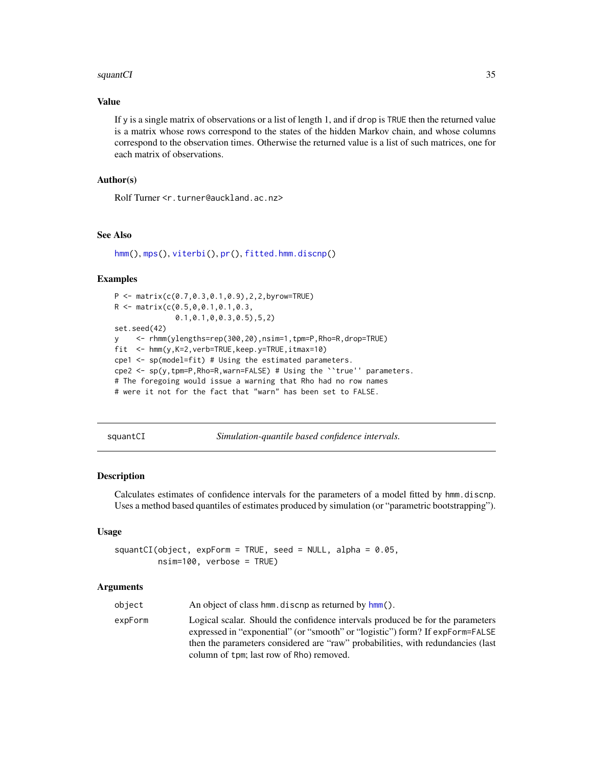#### <span id="page-34-0"></span>squantCI 35

#### Value

If y is a single matrix of observations or a list of length 1, and if drop is TRUE then the returned value is a matrix whose rows correspond to the states of the hidden Markov chain, and whose columns correspond to the observation times. Otherwise the returned value is a list of such matrices, one for each matrix of observations.

# Author(s)

Rolf Turner <r.turner@auckland.ac.nz>

# See Also

[hmm\(](#page-6-1)), [mps\(](#page-23-1)), [viterbi\(](#page-39-1)), [pr\(](#page-26-1)), [fitted.hmm.discnp\(](#page-4-1))

#### Examples

```
P <- matrix(c(0.7,0.3,0.1,0.9),2,2,byrow=TRUE)
R <- matrix(c(0.5,0,0.1,0.1,0.3,
              0.1,0.1,0,0.3,0.5),5,2)
set.seed(42)
y <- rhmm(ylengths=rep(300,20),nsim=1,tpm=P,Rho=R,drop=TRUE)
fit <- hmm(y,K=2,verb=TRUE,keep.y=TRUE,itmax=10)
cpe1 \leq sp(model=fit) # Using the estimated parameters.
cpe2 <- sp(y,tpm=P,Rho=R,warn=FALSE) # Using the ``true'' parameters.
# The foregoing would issue a warning that Rho had no row names
# were it not for the fact that "warn" has been set to FALSE.
```
<span id="page-34-1"></span>squantCI *Simulation-quantile based confidence intervals.*

### Description

Calculates estimates of confidence intervals for the parameters of a model fitted by hmm.discnp. Uses a method based quantiles of estimates produced by simulation (or "parametric bootstrapping").

# Usage

```
squantCI(object, expForm = TRUE, seed = NULL, alpha = 0.05,
         nsim=100, verbose = TRUE)
```

| object  | An object of class hmm. discnp as returned by hmm().                                                                                                                                                                                                                                           |
|---------|------------------------------------------------------------------------------------------------------------------------------------------------------------------------------------------------------------------------------------------------------------------------------------------------|
| expForm | Logical scalar. Should the confidence intervals produced be for the parameters<br>expressed in "exponential" (or "smooth" or "logistic") form? If expForm=FALSE<br>then the parameters considered are "raw" probabilities, with redundancies (last<br>column of tpm; last row of Rho) removed. |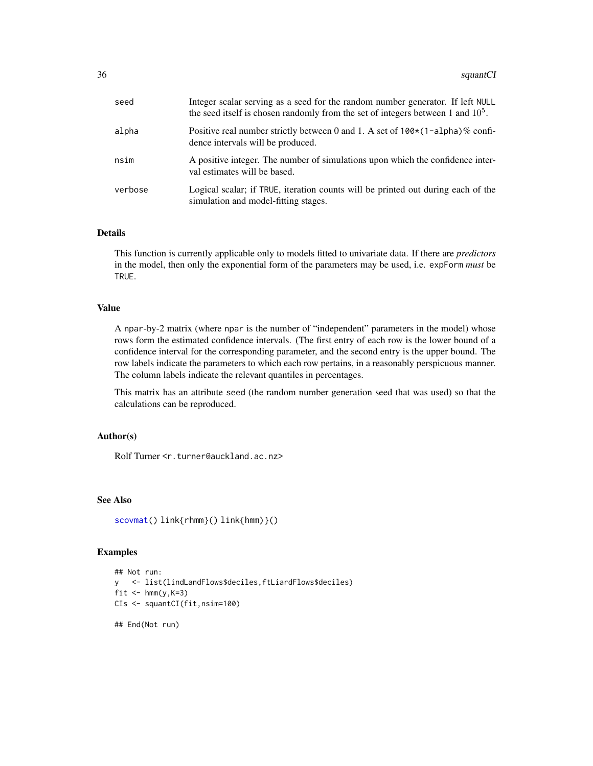<span id="page-35-0"></span>

| seed    | Integer scalar serving as a seed for the random number generator. If left NULL<br>the seed itself is chosen randomly from the set of integers between 1 and $105$ . |
|---------|---------------------------------------------------------------------------------------------------------------------------------------------------------------------|
| alpha   | Positive real number strictly between 0 and 1. A set of $100*(1-a1pha)\%$ confi-<br>dence intervals will be produced.                                               |
| nsim    | A positive integer. The number of simulations upon which the confidence inter-<br>val estimates will be based.                                                      |
| verbose | Logical scalar; if TRUE, iteration counts will be printed out during each of the<br>simulation and model-fitting stages.                                            |

#### Details

This function is currently applicable only to models fitted to univariate data. If there are *predictors* in the model, then only the exponential form of the parameters may be used, i.e. expForm *must* be TRUE.

#### Value

A npar-by-2 matrix (where npar is the number of "independent" parameters in the model) whose rows form the estimated confidence intervals. (The first entry of each row is the lower bound of a confidence interval for the corresponding parameter, and the second entry is the upper bound. The row labels indicate the parameters to which each row pertains, in a reasonably perspicuous manner. The column labels indicate the relevant quantiles in percentages.

This matrix has an attribute seed (the random number generation seed that was used) so that the calculations can be reproduced.

#### Author(s)

Rolf Turner <r.turner@auckland.ac.nz>

#### See Also

```
scovmat() link{rhmm}() link{hmm)}()
```
# Examples

```
## Not run:
y <- list(lindLandFlows$deciles,ftLiardFlows$deciles)
fit \leftarrow hmm(y, K=3)
CIs <- squantCI(fit,nsim=100)
```
## End(Not run)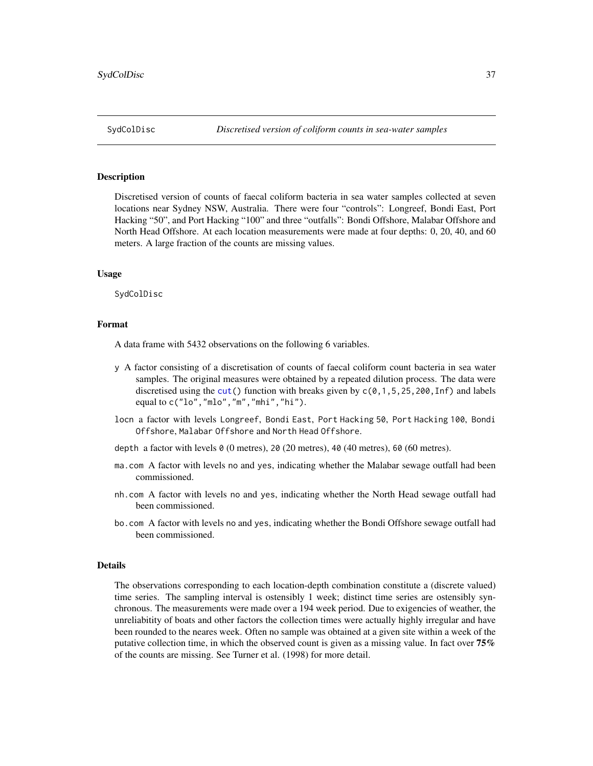<span id="page-36-0"></span>

#### **Description**

Discretised version of counts of faecal coliform bacteria in sea water samples collected at seven locations near Sydney NSW, Australia. There were four "controls": Longreef, Bondi East, Port Hacking "50", and Port Hacking "100" and three "outfalls": Bondi Offshore, Malabar Offshore and North Head Offshore. At each location measurements were made at four depths: 0, 20, 40, and 60 meters. A large fraction of the counts are missing values.

#### Usage

SydColDisc

# Format

A data frame with 5432 observations on the following 6 variables.

- y A factor consisting of a discretisation of counts of faecal coliform count bacteria in sea water samples. The original measures were obtained by a repeated dilution process. The data were discretised using the [cut\(](#page-0-0)) function with breaks given by  $c(0,1,5,25,200,1n f)$  and labels equal to c("lo","mlo","m","mhi","hi").
- locn a factor with levels Longreef, Bondi East, Port Hacking 50, Port Hacking 100, Bondi Offshore, Malabar Offshore and North Head Offshore.
- depth a factor with levels  $\theta$  (0 metres), 20 (20 metres), 40 (40 metres), 60 (60 metres).
- ma.com A factor with levels no and yes, indicating whether the Malabar sewage outfall had been commissioned.
- nh.com A factor with levels no and yes, indicating whether the North Head sewage outfall had been commissioned.
- bo.com A factor with levels no and yes, indicating whether the Bondi Offshore sewage outfall had been commissioned.

#### Details

The observations corresponding to each location-depth combination constitute a (discrete valued) time series. The sampling interval is ostensibly 1 week; distinct time series are ostensibly synchronous. The measurements were made over a 194 week period. Due to exigencies of weather, the unreliabitity of boats and other factors the collection times were actually highly irregular and have been rounded to the neares week. Often no sample was obtained at a given site within a week of the putative collection time, in which the observed count is given as a missing value. In fact over 75% of the counts are missing. See Turner et al. (1998) for more detail.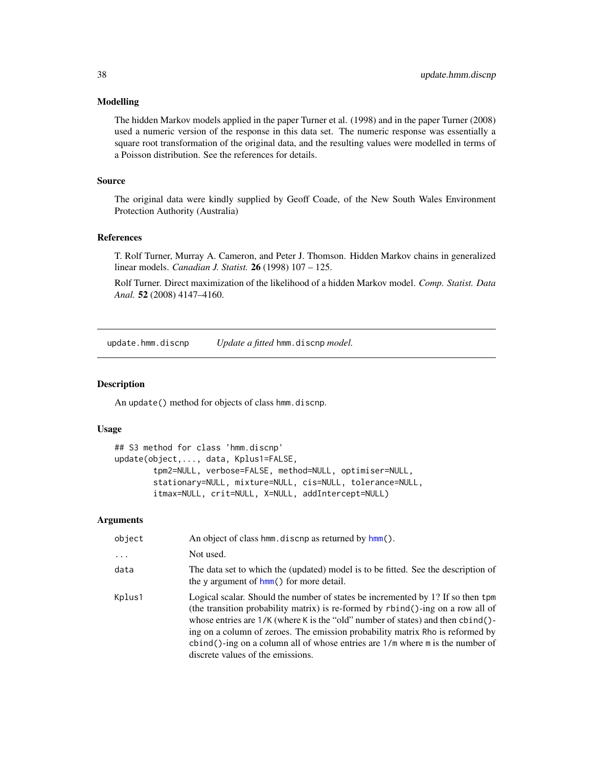#### <span id="page-37-0"></span>Modelling

The hidden Markov models applied in the paper Turner et al. (1998) and in the paper Turner (2008) used a numeric version of the response in this data set. The numeric response was essentially a square root transformation of the original data, and the resulting values were modelled in terms of a Poisson distribution. See the references for details.

#### Source

The original data were kindly supplied by Geoff Coade, of the New South Wales Environment Protection Authority (Australia)

#### References

T. Rolf Turner, Murray A. Cameron, and Peter J. Thomson. Hidden Markov chains in generalized linear models. *Canadian J. Statist.* 26 (1998) 107 – 125.

Rolf Turner. Direct maximization of the likelihood of a hidden Markov model. *Comp. Statist. Data Anal.* 52 (2008) 4147–4160.

<span id="page-37-1"></span>update.hmm.discnp *Update a fitted* hmm.discnp *model.*

# Description

An update() method for objects of class hmm.discnp.

#### Usage

```
## S3 method for class 'hmm.discnp'
update(object,..., data, Kplus1=FALSE,
        tpm2=NULL, verbose=FALSE, method=NULL, optimiser=NULL,
        stationary=NULL, mixture=NULL, cis=NULL, tolerance=NULL,
       itmax=NULL, crit=NULL, X=NULL, addIntercept=NULL)
```

| object     | An object of class hmm, discnp as returned by hmm().                                                                                                                                                                                                                                                                                                                                                                                                             |
|------------|------------------------------------------------------------------------------------------------------------------------------------------------------------------------------------------------------------------------------------------------------------------------------------------------------------------------------------------------------------------------------------------------------------------------------------------------------------------|
| $\ddots$ . | Not used.                                                                                                                                                                                                                                                                                                                                                                                                                                                        |
| data       | The data set to which the (updated) model is to be fitted. See the description of<br>the y argument of $h_{mm}$ () for more detail.                                                                                                                                                                                                                                                                                                                              |
| Kplus1     | Logical scalar. Should the number of states be incremented by 1? If so then tpm<br>(the transition probability matrix) is re-formed by rbind()-ing on a row all of<br>whose entries are $1/K$ (where K is the "old" number of states) and then cbind()-<br>ing on a column of zeroes. The emission probability matrix Rho is reformed by<br>cbind()-ing on a column all of whose entries are $1/m$ where m is the number of<br>discrete values of the emissions. |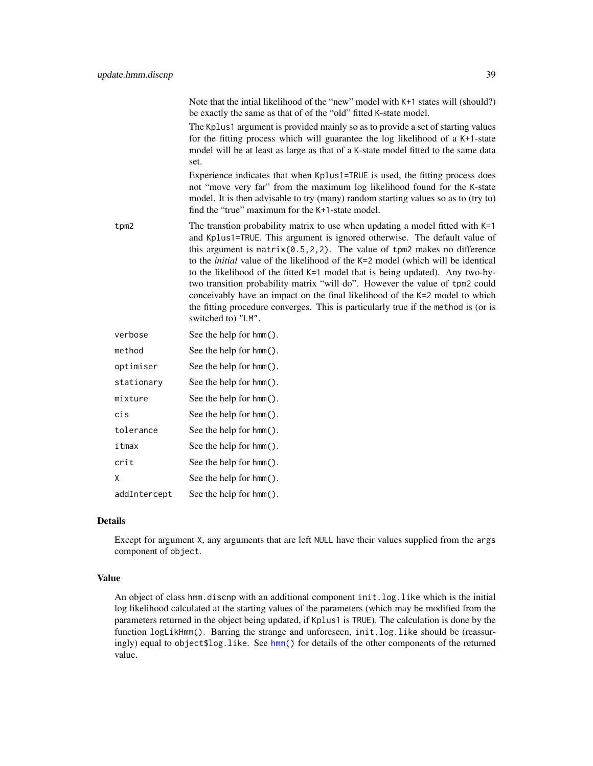|            | Note that the intial likelihood of the "new" model with K+1 states will (should?)<br>be exactly the same as that of of the "old" fitted K-state model.                                                                                                                                                                                                                                                                                                                                                                                                                                                                                                                                               |
|------------|------------------------------------------------------------------------------------------------------------------------------------------------------------------------------------------------------------------------------------------------------------------------------------------------------------------------------------------------------------------------------------------------------------------------------------------------------------------------------------------------------------------------------------------------------------------------------------------------------------------------------------------------------------------------------------------------------|
|            | The Kplus1 argument is provided mainly so as to provide a set of starting values<br>for the fitting process which will guarantee the log likelihood of a K+1-state<br>model will be at least as large as that of a K-state model fitted to the same data<br>set.                                                                                                                                                                                                                                                                                                                                                                                                                                     |
|            | Experience indicates that when Kplus1=TRUE is used, the fitting process does<br>not "move very far" from the maximum log likelihood found for the K-state<br>model. It is then advisable to try (many) random starting values so as to (try to)<br>find the "true" maximum for the K+1-state model.                                                                                                                                                                                                                                                                                                                                                                                                  |
| tpm2       | The transtion probability matrix to use when updating a model fitted with $K=1$<br>and Kplus1=TRUE. This argument is ignored otherwise. The default value of<br>this argument is $matrix(0.5, 2, 2)$ . The value of tpm2 makes no difference<br>to the <i>initial</i> value of the likelihood of the K=2 model (which will be identical<br>to the likelihood of the fitted K=1 model that is being updated). Any two-by-<br>two transition probability matrix "will do". However the value of tpm2 could<br>conceivably have an impact on the final likelihood of the K=2 model to which<br>the fitting procedure converges. This is particularly true if the method is (or is<br>switched to) "LM". |
| verbose    | See the help for hmm().                                                                                                                                                                                                                                                                                                                                                                                                                                                                                                                                                                                                                                                                              |
| method     | See the help for hmm().                                                                                                                                                                                                                                                                                                                                                                                                                                                                                                                                                                                                                                                                              |
| optimiser  | See the help for hmm().                                                                                                                                                                                                                                                                                                                                                                                                                                                                                                                                                                                                                                                                              |
| stationary | See the help for hmm().                                                                                                                                                                                                                                                                                                                                                                                                                                                                                                                                                                                                                                                                              |

| cis          | See the help for hmm().    |
|--------------|----------------------------|
| tolerance    | See the help for hmm().    |
| itmax        | See the help for hmm().    |
| crit         | See the help for hmm().    |
| x            | See the help for $hmm()$ . |
| addIntercept | See the help for $hmm()$ . |

mixture See the help for hmm().

# Details

Except for argument X, any arguments that are left NULL have their values supplied from the args component of object.

# Value

An object of class hmm.discnp with an additional component init.log.like which is the initial log likelihood calculated at the starting values of the parameters (which may be modified from the parameters returned in the object being updated, if Kplus1 is TRUE). The calculation is done by the function logLikHmm(). Barring the strange and unforeseen, init.log.like should be (reassuringly) equal to object\$log.like. See [hmm\(](#page-6-1)) for details of the other components of the returned value.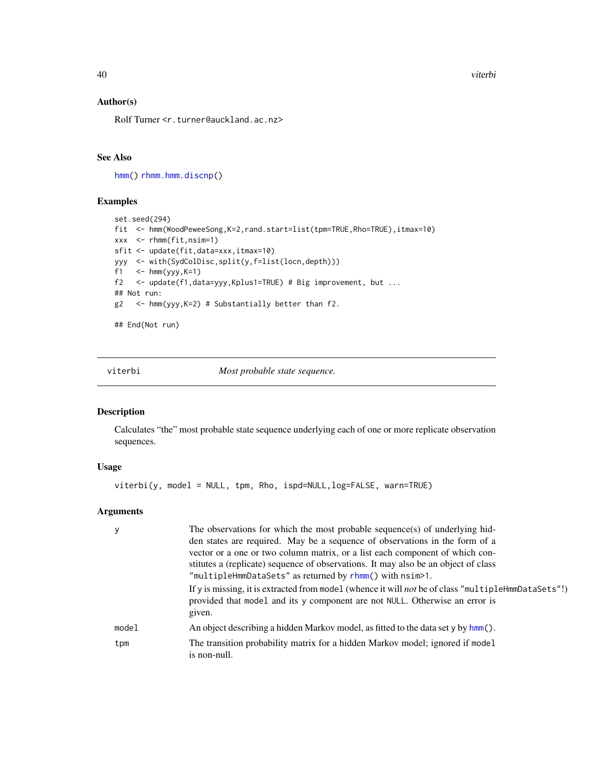40 viterbi

# Author(s)

Rolf Turner <r.turner@auckland.ac.nz>

# See Also

[hmm\(](#page-6-1)) [rhmm.hmm.discnp\(](#page-29-2))

#### Examples

```
set.seed(294)
fit <- hmm(WoodPeweeSong,K=2,rand.start=list(tpm=TRUE,Rho=TRUE),itmax=10)
xxx <- rhmm(fit,nsim=1)
sfit <- update(fit,data=xxx,itmax=10)
yyy <- with(SydColDisc,split(y,f=list(locn,depth)))
f1 \leftarrow hmm(yyy, K=1)
f2 <- update(f1,data=yyy,Kplus1=TRUE) # Big improvement, but ...
## Not run:
g2 <- hmm(yyy,K=2) # Substantially better than f2.
```
## End(Not run)

<span id="page-39-1"></span>viterbi *Most probable state sequence.*

#### Description

Calculates "the" most probable state sequence underlying each of one or more replicate observation sequences.

#### Usage

viterbi(y, model = NULL, tpm, Rho, ispd=NULL,log=FALSE, warn=TRUE)

|       | The observations for which the most probable sequence(s) of underlying hid-<br>den states are required. May be a sequence of observations in the form of a<br>vector or a one or two column matrix, or a list each component of which con-<br>stitutes a (replicate) sequence of observations. It may also be an object of class<br>"multipleHmmDataSets" as returned by rhmm() with nsim>1. |
|-------|----------------------------------------------------------------------------------------------------------------------------------------------------------------------------------------------------------------------------------------------------------------------------------------------------------------------------------------------------------------------------------------------|
|       | If y is missing, it is extracted from model (whence it will <i>not</i> be of class "multipleHmmDataSets"!)<br>provided that model and its y component are not NULL. Otherwise an error is<br>given.                                                                                                                                                                                          |
| model | An object describing a hidden Markov model, as fitted to the data set y by $hmm()$ .                                                                                                                                                                                                                                                                                                         |
| tpm   | The transition probability matrix for a hidden Markov model; ignored if model<br>is non-null.                                                                                                                                                                                                                                                                                                |

<span id="page-39-0"></span>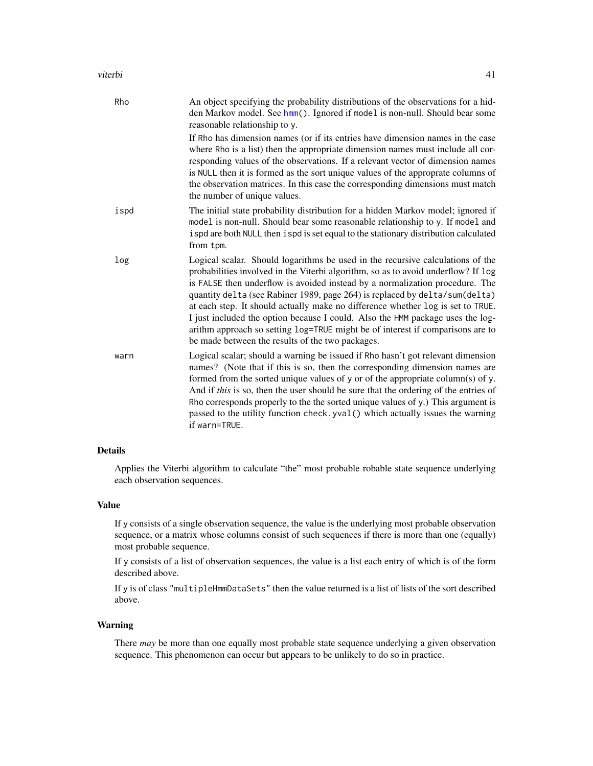#### viterbi  $\overline{41}$

| Rho  | An object specifying the probability distributions of the observations for a hid-<br>den Markov model. See hmm(). Ignored if model is non-null. Should bear some<br>reasonable relationship to y.                                                                                                                                                                                                                                                                                                                                                                                                                                             |
|------|-----------------------------------------------------------------------------------------------------------------------------------------------------------------------------------------------------------------------------------------------------------------------------------------------------------------------------------------------------------------------------------------------------------------------------------------------------------------------------------------------------------------------------------------------------------------------------------------------------------------------------------------------|
|      | If Rho has dimension names (or if its entries have dimension names in the case<br>where Rho is a list) then the appropriate dimension names must include all cor-<br>responding values of the observations. If a relevant vector of dimension names<br>is NULL then it is formed as the sort unique values of the approprate columns of<br>the observation matrices. In this case the corresponding dimensions must match<br>the number of unique values.                                                                                                                                                                                     |
| ispd | The initial state probability distribution for a hidden Markov model; ignored if<br>model is non-null. Should bear some reasonable relationship to y. If model and<br>ispd are both NULL then ispd is set equal to the stationary distribution calculated<br>from tpm.                                                                                                                                                                                                                                                                                                                                                                        |
| log  | Logical scalar. Should logarithms be used in the recursive calculations of the<br>probabilities involved in the Viterbi algorithm, so as to avoid underflow? If log<br>is FALSE then underflow is avoided instead by a normalization procedure. The<br>quantity delta (see Rabiner 1989, page 264) is replaced by delta/sum(delta)<br>at each step. It should actually make no difference whether log is set to TRUE.<br>I just included the option because I could. Also the HMM package uses the log-<br>arithm approach so setting log=TRUE might be of interest if comparisons are to<br>be made between the results of the two packages. |
| warn | Logical scalar; should a warning be issued if Rho hasn't got relevant dimension<br>names? (Note that if this is so, then the corresponding dimension names are<br>formed from the sorted unique values of y or of the appropriate column(s) of y.<br>And if this is so, then the user should be sure that the ordering of the entries of<br>Rho corresponds properly to the the sorted unique values of y.) This argument is<br>passed to the utility function check. yval () which actually issues the warning<br>if warn=TRUE.                                                                                                              |

# Details

Applies the Viterbi algorithm to calculate "the" most probable robable state sequence underlying each observation sequences.

# Value

If y consists of a single observation sequence, the value is the underlying most probable observation sequence, or a matrix whose columns consist of such sequences if there is more than one (equally) most probable sequence.

If y consists of a list of observation sequences, the value is a list each entry of which is of the form described above.

If y is of class "multipleHmmDataSets" then the value returned is a list of lists of the sort described above.

#### Warning

There *may* be more than one equally most probable state sequence underlying a given observation sequence. This phenomenon can occur but appears to be unlikely to do so in practice.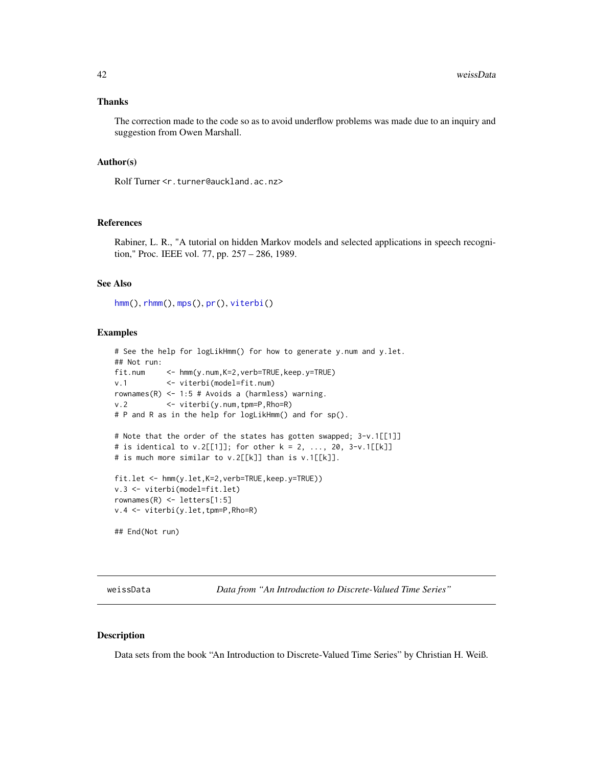#### <span id="page-41-0"></span>Thanks

The correction made to the code so as to avoid underflow problems was made due to an inquiry and suggestion from Owen Marshall.

#### Author(s)

Rolf Turner <r.turner@auckland.ac.nz>

#### References

Rabiner, L. R., "A tutorial on hidden Markov models and selected applications in speech recognition," Proc. IEEE vol. 77, pp. 257 – 286, 1989.

#### See Also

[hmm\(](#page-6-1)), [rhmm\(](#page-29-1)), [mps\(](#page-23-1)), [pr\(](#page-26-1)), [viterbi\(](#page-39-1))

#### Examples

```
# See the help for logLikHmm() for how to generate y.num and y.let.
## Not run:
fit.num <- hmm(y.num,K=2,verb=TRUE,keep.y=TRUE)
v.1 <- viterbi(model=fit.num)
rownames(R) <- 1:5 # Avoids a (harmless) warning.
v.2 <- viterbi(y.num,tpm=P,Rho=R)
# P and R as in the help for logLikHmm() and for sp().
# Note that the order of the states has gotten swapped; 3-v.1[[1]]
# is identical to v.2[[1]]; for other k = 2, ..., 20, 3-v.1[[k]]
# is much more similar to v.2[[k]] than is v.1[[k]].
fit.let <- hmm(y.let,K=2,verb=TRUE,keep.y=TRUE))
v.3 <- viterbi(model=fit.let)
rownames(R) <- letters[1:5]
v.4 <- viterbi(y.let,tpm=P,Rho=R)
## End(Not run)
```
weissData *Data from "An Introduction to Discrete-Valued Time Series"*

#### Description

Data sets from the book "An Introduction to Discrete-Valued Time Series" by Christian H. Weiß.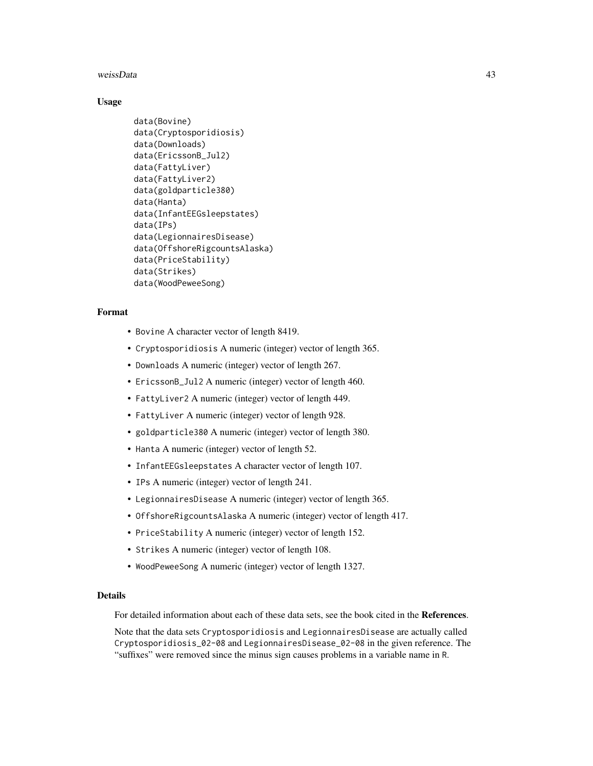#### weissData 43

#### Usage

```
data(Bovine)
data(Cryptosporidiosis)
data(Downloads)
data(EricssonB_Jul2)
data(FattyLiver)
data(FattyLiver2)
data(goldparticle380)
data(Hanta)
data(InfantEEGsleepstates)
data(IPs)
data(LegionnairesDisease)
data(OffshoreRigcountsAlaska)
data(PriceStability)
data(Strikes)
data(WoodPeweeSong)
```
#### Format

- Bovine A character vector of length 8419.
- Cryptosporidiosis A numeric (integer) vector of length 365.
- Downloads A numeric (integer) vector of length 267.
- EricssonB\_Jul2 A numeric (integer) vector of length 460.
- FattyLiver2 A numeric (integer) vector of length 449.
- FattyLiver A numeric (integer) vector of length 928.
- goldparticle380 A numeric (integer) vector of length 380.
- Hanta A numeric (integer) vector of length 52.
- InfantEEGsleepstates A character vector of length 107.
- IPs A numeric (integer) vector of length 241.
- LegionnairesDisease A numeric (integer) vector of length 365.
- OffshoreRigcountsAlaska A numeric (integer) vector of length 417.
- PriceStability A numeric (integer) vector of length 152.
- Strikes A numeric (integer) vector of length 108.
- WoodPeweeSong A numeric (integer) vector of length 1327.

# Details

For detailed information about each of these data sets, see the book cited in the References.

Note that the data sets Cryptosporidiosis and LegionnairesDisease are actually called Cryptosporidiosis\_02-08 and LegionnairesDisease\_02-08 in the given reference. The "suffixes" were removed since the minus sign causes problems in a variable name in R.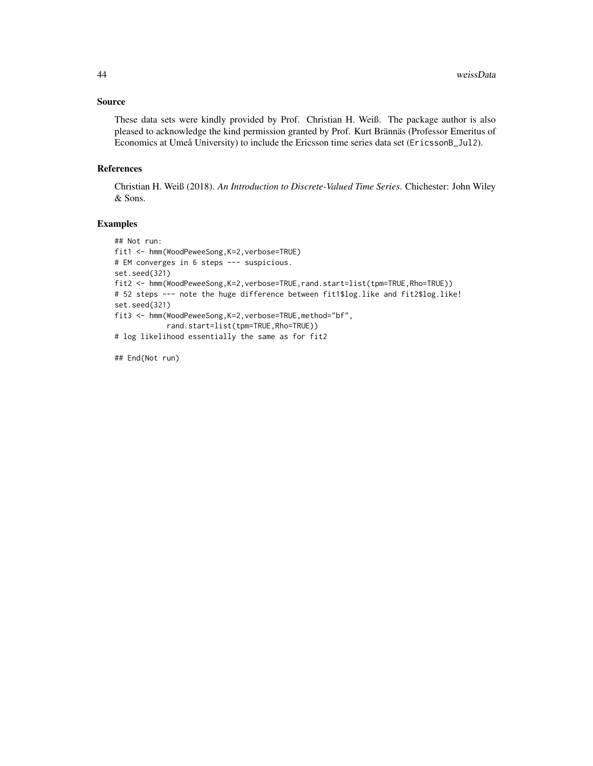#### Source

These data sets were kindly provided by Prof. Christian H. Weiß. The package author is also pleased to acknowledge the kind permission granted by Prof. Kurt Brännäs (Professor Emeritus of Economics at Umeå University) to include the Ericsson time series data set (EricssonB\_Jul2).

#### References

Christian H. Weiß (2018). *An Introduction to Discrete-Valued Time Series*. Chichester: John Wiley & Sons.

# Examples

```
## Not run:
fit1 <- hmm(WoodPeweeSong,K=2,verbose=TRUE)
# EM converges in 6 steps --- suspicious.
set.seed(321)
fit2 <- hmm(WoodPeweeSong,K=2,verbose=TRUE,rand.start=list(tpm=TRUE,Rho=TRUE))
# 52 steps --- note the huge difference between fit1$log.like and fit2$log.like!
set.seed(321)
fit3 <- hmm(WoodPeweeSong,K=2,verbose=TRUE,method="bf",
            rand.start=list(tpm=TRUE,Rho=TRUE))
# log likelihood essentially the same as for fit2
```
## End(Not run)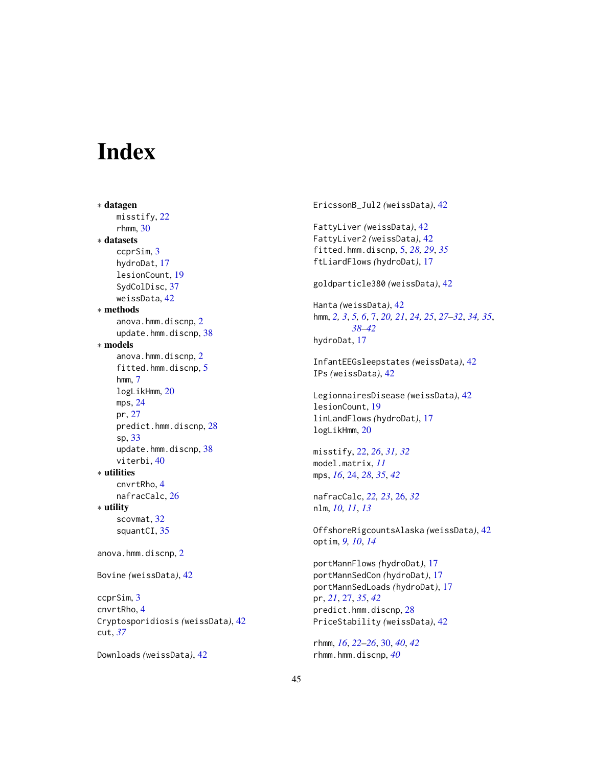# <span id="page-44-0"></span>Index

∗ datagen misstify, [22](#page-21-0)  $r$ hmm,  $30$ ∗ datasets ccprSim, [3](#page-2-0) hydroDat, [17](#page-16-0) lesionCount, [19](#page-18-0) SydColDisc, [37](#page-36-0) weissData, [42](#page-41-0) ∗ methods anova.hmm.discnp, [2](#page-1-0) update.hmm.discnp, [38](#page-37-0) ∗ models anova.hmm.discnp, [2](#page-1-0) fitted.hmm.discnp, [5](#page-4-0) hmm, [7](#page-6-0) logLikHmm, [20](#page-19-0) mps, [24](#page-23-0) pr, [27](#page-26-0) predict.hmm.discnp, [28](#page-27-0) sp, [33](#page-32-0) update.hmm.discnp, [38](#page-37-0) viterbi, [40](#page-39-0) ∗ utilities cnvrtRho, [4](#page-3-0) nafracCalc, [26](#page-25-0) ∗ utility scovmat, [32](#page-31-0) squantCI, [35](#page-34-0) anova.hmm.discnp, [2](#page-1-0) Bovine *(*weissData*)*, [42](#page-41-0) ccprSim, [3](#page-2-0) cnvrtRho, [4](#page-3-0) Cryptosporidiosis *(*weissData*)*, [42](#page-41-0) cut, *[37](#page-36-0)*

```
Downloads (weissData), 42
```
EricssonB\_Jul2 *(*weissData*)*, [42](#page-41-0)

```
FattyLiver (weissData), 42
FattyLiver2 (weissData), 42
fitted.hmm.discnp, 5, 28, 29, 35
ftLiardFlows (hydroDat), 17
```
goldparticle380 *(*weissData*)*, [42](#page-41-0)

Hanta *(*weissData*)*, [42](#page-41-0) hmm, *[2,](#page-1-0) [3](#page-2-0)*, *[5,](#page-4-0) [6](#page-5-0)*, [7,](#page-6-0) *[20,](#page-19-0) [21](#page-20-0)*, *[24,](#page-23-0) [25](#page-24-0)*, *[27](#page-26-0)[–32](#page-31-0)*, *[34,](#page-33-0) [35](#page-34-0)*, *[38](#page-37-0)[–42](#page-41-0)* hydroDat, [17](#page-16-0)

InfantEEGsleepstates *(*weissData*)*, [42](#page-41-0) IPs *(*weissData*)*, [42](#page-41-0)

LegionnairesDisease *(*weissData*)*, [42](#page-41-0) lesionCount, [19](#page-18-0) linLandFlows *(*hydroDat*)*, [17](#page-16-0) logLikHmm, [20](#page-19-0)

misstify, [22,](#page-21-0) *[26](#page-25-0)*, *[31,](#page-30-0) [32](#page-31-0)* model.matrix, *[11](#page-10-0)* mps, *[16](#page-15-0)*, [24,](#page-23-0) *[28](#page-27-0)*, *[35](#page-34-0)*, *[42](#page-41-0)*

nafracCalc, *[22,](#page-21-0) [23](#page-22-0)*, [26,](#page-25-0) *[32](#page-31-0)* nlm, *[10,](#page-9-0) [11](#page-10-0)*, *[13](#page-12-0)*

OffshoreRigcountsAlaska *(*weissData*)*, [42](#page-41-0) optim, *[9,](#page-8-0) [10](#page-9-0)*, *[14](#page-13-0)*

portMannFlows *(*hydroDat*)*, [17](#page-16-0) portMannSedCon *(*hydroDat*)*, [17](#page-16-0) portMannSedLoads *(*hydroDat*)*, [17](#page-16-0) pr, *[21](#page-20-0)*, [27,](#page-26-0) *[35](#page-34-0)*, *[42](#page-41-0)* predict.hmm.discnp, [28](#page-27-0) PriceStability *(*weissData*)*, [42](#page-41-0)

rhmm, *[16](#page-15-0)*, *[22](#page-21-0)[–26](#page-25-0)*, [30,](#page-29-0) *[40](#page-39-0)*, *[42](#page-41-0)* rhmm.hmm.discnp, *[40](#page-39-0)*